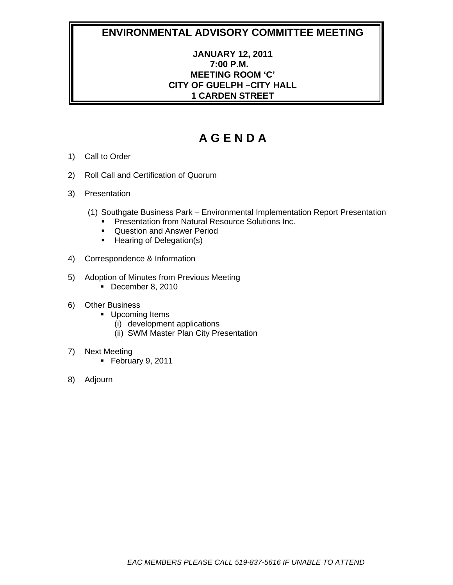# **JANUARY 12, 2011 7:00 P.M. MEETING ROOM 'C' CITY OF GUELPH –CITY HALL 1 CARDEN STREET**

- 1) Call to Order
- 2) Roll Call and Certification of Quorum
- 3) Presentation
	- (1) Southgate Business Park Environmental Implementation Report Presentation
		- **Presentation from Natural Resource Solutions Inc.**
		- **Question and Answer Period**
		- **Hearing of Delegation(s)**
- 4) Correspondence & Information
- 5) Adoption of Minutes from Previous Meeting
	- December 8, 2010
- 6) Other Business
	- **Upcoming Items** 
		- (i) development applications
		- (ii) SWM Master Plan City Presentation
- 7) Next Meeting
	- February 9, 2011
- 8) Adjourn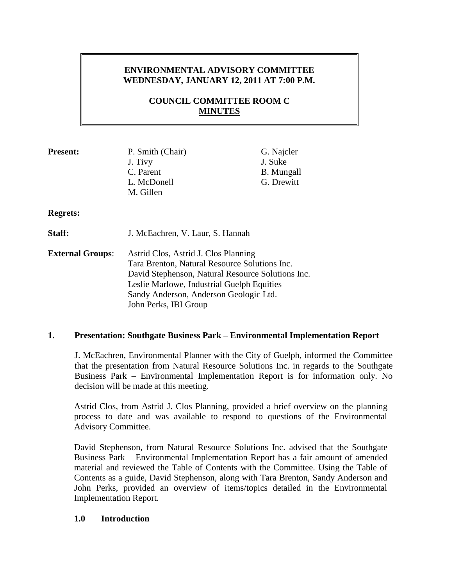# **ENVIRONMENTAL ADVISORY COMMITTEE WEDNESDAY, JANUARY 12, 2011 AT 7:00 P.M.**

# **COUNCIL COMMITTEE ROOM C MINUTES**

| <b>Present:</b> | P. Smith (Chair)<br>J. Tivy<br>C. Parent<br>L. McDonell<br>M. Gillen | G. Najcler<br>J. Suke<br><b>B.</b> Mungall<br>G. Drewitt |
|-----------------|----------------------------------------------------------------------|----------------------------------------------------------|
| <b>Regrets:</b> |                                                                      |                                                          |
| Staff:          | J. McEachren, V. Laur, S. Hannah                                     |                                                          |

**External Groups**: Astrid Clos, Astrid J. Clos Planning Tara Brenton, Natural Resource Solutions Inc. David Stephenson, Natural Resource Solutions Inc. Leslie Marlowe, Industrial Guelph Equities Sandy Anderson, Anderson Geologic Ltd. John Perks, IBI Group

### **1. Presentation: Southgate Business Park – Environmental Implementation Report**

J. McEachren, Environmental Planner with the City of Guelph, informed the Committee that the presentation from Natural Resource Solutions Inc. in regards to the Southgate Business Park – Environmental Implementation Report is for information only. No decision will be made at this meeting.

Astrid Clos, from Astrid J. Clos Planning, provided a brief overview on the planning process to date and was available to respond to questions of the Environmental Advisory Committee.

David Stephenson, from Natural Resource Solutions Inc. advised that the Southgate Business Park – Environmental Implementation Report has a fair amount of amended material and reviewed the Table of Contents with the Committee. Using the Table of Contents as a guide, David Stephenson, along with Tara Brenton, Sandy Anderson and John Perks, provided an overview of items/topics detailed in the Environmental Implementation Report.

### **1.0 Introduction**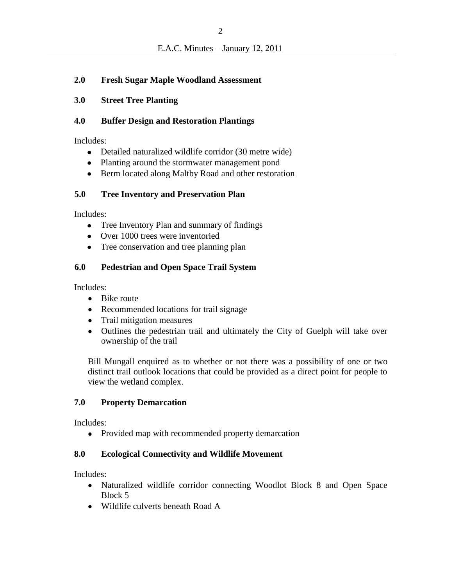## **2.0 Fresh Sugar Maple Woodland Assessment**

### **3.0 Street Tree Planting**

### **4.0 Buffer Design and Restoration Plantings**

Includes:

- $\bullet$ Detailed naturalized wildlife corridor (30 metre wide)
- Planting around the stormwater management pond
- Berm located along Maltby Road and other restoration  $\bullet$

## **5.0 Tree Inventory and Preservation Plan**

Includes:

- Tree Inventory Plan and summary of findings  $\bullet$
- Over 1000 trees were inventoried  $\bullet$
- $\bullet$ Tree conservation and tree planning plan

# **6.0 Pedestrian and Open Space Trail System**

Includes:

- Bike route  $\bullet$
- Recommended locations for trail signage
- Trail mitigation measures
- Outlines the pedestrian trail and ultimately the City of Guelph will take over ownership of the trail

Bill Mungall enquired as to whether or not there was a possibility of one or two distinct trail outlook locations that could be provided as a direct point for people to view the wetland complex.

# **7.0 Property Demarcation**

Includes:

Provided map with recommended property demarcation  $\bullet$ 

### **8.0 Ecological Connectivity and Wildlife Movement**

Includes:

- Naturalized wildlife corridor connecting Woodlot Block 8 and Open Space  $\bullet$ Block 5
- Wildlife culverts beneath Road A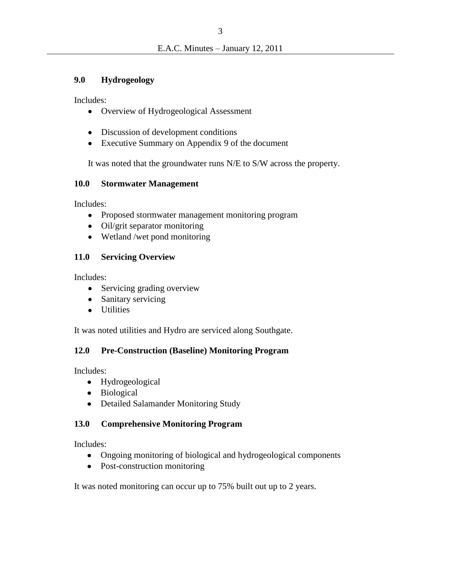### **9.0 Hydrogeology**

Includes:

- $\bullet$ Overview of Hydrogeological Assessment
- Discussion of development conditions  $\bullet$
- Executive Summary on Appendix 9 of the document  $\bullet$

It was noted that the groundwater runs N/E to S/W across the property.

## **10.0 Stormwater Management**

Includes:

- Proposed stormwater management monitoring program  $\bullet$
- Oil/grit separator monitoring
- Wetland /wet pond monitoring

# **11.0 Servicing Overview**

Includes:

- Servicing grading overview
- Sanitary servicing  $\bullet$
- **Utilities**  $\bullet$

It was noted utilities and Hydro are serviced along Southgate.

# **12.0 Pre-Construction (Baseline) Monitoring Program**

Includes:

- Hydrogeological
- Biological  $\bullet$
- Detailed Salamander Monitoring Study  $\bullet$

# **13.0 Comprehensive Monitoring Program**

Includes:

- Ongoing monitoring of biological and hydrogeological components  $\bullet$
- Post-construction monitoring

It was noted monitoring can occur up to 75% built out up to 2 years.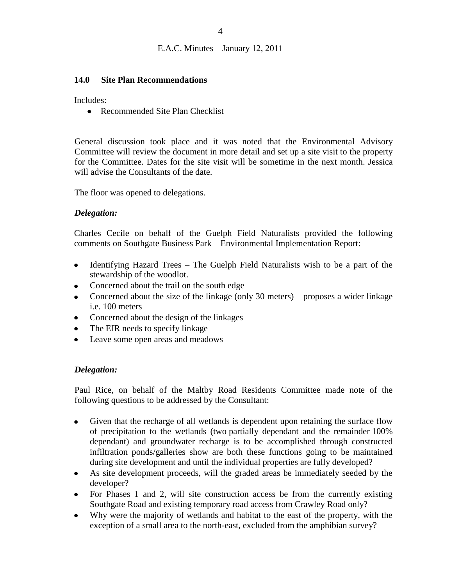#### **14.0 Site Plan Recommendations**

Includes:

 $\bullet$ Recommended Site Plan Checklist

General discussion took place and it was noted that the Environmental Advisory Committee will review the document in more detail and set up a site visit to the property for the Committee. Dates for the site visit will be sometime in the next month. Jessica will advise the Consultants of the date.

The floor was opened to delegations.

#### *Delegation:*

Charles Cecile on behalf of the Guelph Field Naturalists provided the following comments on Southgate Business Park – Environmental Implementation Report:

- Identifying Hazard Trees The Guelph Field Naturalists wish to be a part of the  $\bullet$ stewardship of the woodlot.
- Concerned about the trail on the south edge  $\bullet$
- Concerned about the size of the linkage (only 30 meters) proposes a wider linkage  $\bullet$ i.e. 100 meters
- Concerned about the design of the linkages  $\bullet$
- The EIR needs to specify linkage
- Leave some open areas and meadows

### *Delegation:*

Paul Rice, on behalf of the Maltby Road Residents Committee made note of the following questions to be addressed by the Consultant:

- $\bullet$ Given that the recharge of all wetlands is dependent upon retaining the surface flow of precipitation to the wetlands (two partially dependant and the remainder 100% dependant) and groundwater recharge is to be accomplished through constructed infiltration ponds/galleries show are both these functions going to be maintained during site development and until the individual properties are fully developed?
- As site development proceeds, will the graded areas be immediately seeded by the  $\bullet$ developer?
- For Phases 1 and 2, will site construction access be from the currently existing Southgate Road and existing temporary road access from Crawley Road only?
- Why were the majority of wetlands and habitat to the east of the property, with the exception of a small area to the north-east, excluded from the amphibian survey?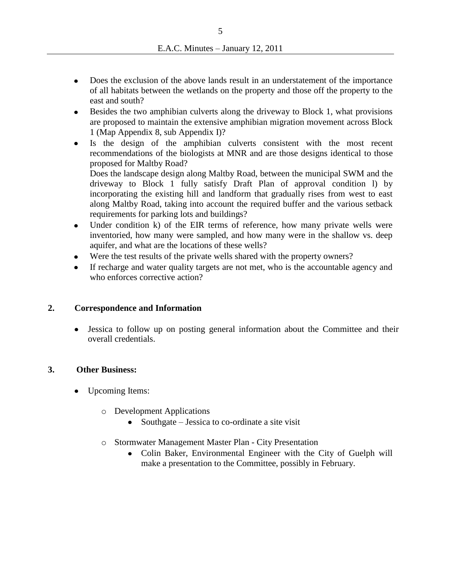- Does the exclusion of the above lands result in an understatement of the importance  $\bullet$ of all habitats between the wetlands on the property and those off the property to the east and south?
- Besides the two amphibian culverts along the driveway to Block 1, what provisions  $\bullet$ are proposed to maintain the extensive amphibian migration movement across Block 1 (Map Appendix 8, sub Appendix I)?
- Is the design of the amphibian culverts consistent with the most recent  $\bullet$ recommendations of the biologists at MNR and are those designs identical to those proposed for Maltby Road?

Does the landscape design along Maltby Road, between the municipal SWM and the driveway to Block 1 fully satisfy Draft Plan of approval condition l) by incorporating the existing hill and landform that gradually rises from west to east along Maltby Road, taking into account the required buffer and the various setback requirements for parking lots and buildings?

- Under condition k) of the EIR terms of reference, how many private wells were  $\bullet$ inventoried, how many were sampled, and how many were in the shallow vs. deep aquifer, and what are the locations of these wells?
- Were the test results of the private wells shared with the property owners?
- If recharge and water quality targets are not met, who is the accountable agency and  $\bullet$ who enforces corrective action?

### **2. Correspondence and Information**

Jessica to follow up on posting general information about the Committee and their  $\bullet$ overall credentials.

### **3. Other Business:**

- Upcoming Items:
	- o Development Applications
		- Southgate Jessica to co-ordinate a site visit
	- o Stormwater Management Master Plan City Presentation
		- Colin Baker, Environmental Engineer with the City of Guelph will make a presentation to the Committee, possibly in February.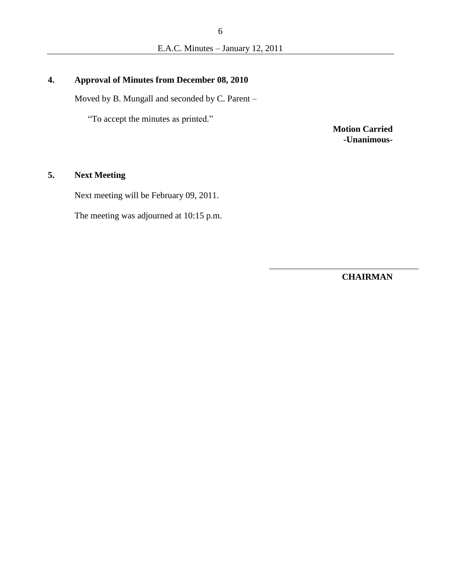# **4. Approval of Minutes from December 08, 2010**

Moved by B. Mungall and seconded by C. Parent –

"To accept the minutes as printed."

**Motion Carried -Unanimous-**

### **5. Next Meeting**

Next meeting will be February 09, 2011.

The meeting was adjourned at 10:15 p.m.

**CHAIRMAN**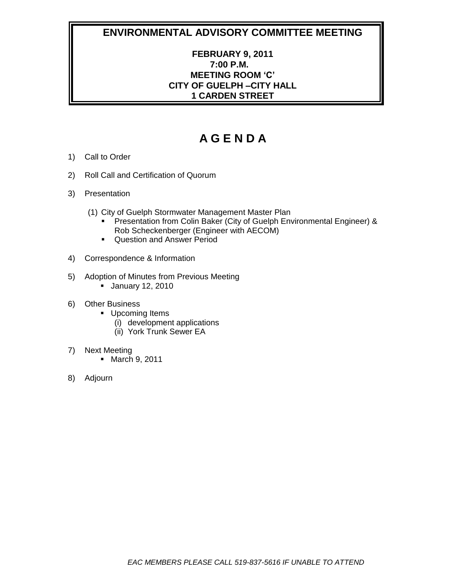# **FEBRUARY 9, 2011 7:00 P.M. MEETING ROOM 'C' CITY OF GUELPH –CITY HALL 1 CARDEN STREET**

- 1) Call to Order
- 2) Roll Call and Certification of Quorum
- 3) Presentation
	- (1) City of Guelph Stormwater Management Master Plan
		- **Presentation from Colin Baker (City of Guelph Environmental Engineer) &** Rob Scheckenberger (Engineer with AECOM)
		- **Question and Answer Period**
- 4) Correspondence & Information
- 5) Adoption of Minutes from Previous Meeting
	- **January 12, 2010**
- 6) Other Business
	- **Upcoming Items** 
		- (i) development applications
		- (ii) York Trunk Sewer EA
- 7) Next Meeting
	- **March 9, 2011**
- 8) Adjourn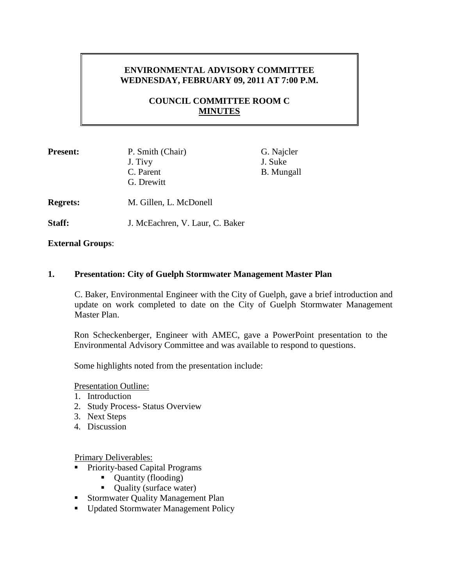# **ENVIRONMENTAL ADVISORY COMMITTEE WEDNESDAY, FEBRUARY 09, 2011 AT 7:00 P.M.**

# **COUNCIL COMMITTEE ROOM C MINUTES**

| <b>Present:</b> | P. Smith (Chair)<br>J. Tivy<br>C. Parent<br>G. Drewitt | G. Najcler<br>J. Suke<br><b>B.</b> Mungall |
|-----------------|--------------------------------------------------------|--------------------------------------------|
| <b>Regrets:</b> | M. Gillen, L. McDonell                                 |                                            |

**Staff:** J. McEachren, V. Laur, C. Baker

**External Groups**:

### **1. Presentation: City of Guelph Stormwater Management Master Plan**

C. Baker, Environmental Engineer with the City of Guelph, gave a brief introduction and update on work completed to date on the City of Guelph Stormwater Management Master Plan.

Ron Scheckenberger, Engineer with AMEC, gave a PowerPoint presentation to the Environmental Advisory Committee and was available to respond to questions.

Some highlights noted from the presentation include:

Presentation Outline:

- 1. Introduction
- 2. Study Process- Status Overview
- 3. Next Steps
- 4. Discussion

Primary Deliverables:

- **Priority-based Capital Programs** 
	- Quantity (flooding)
	- Quality (surface water)
- **Stormwater Quality Management Plan**
- Updated Stormwater Management Policy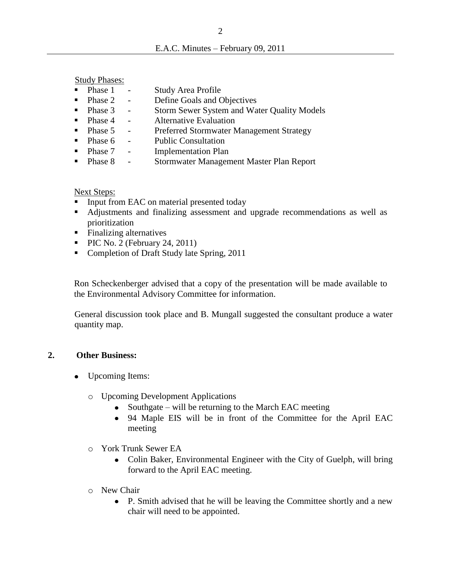Study Phases:

- Phase 1 Study Area Profile
- Phase 2 Define Goals and Objectives
- Phase 3 Storm Sewer System and Water Quality Models
- Phase 4 Alternative Evaluation
- **Phase 5** Preferred Stormwater Management Strategy
- Phase 6 Public Consultation
- Phase 7 Implementation Plan
- **Phase 8 Stormwater Management Master Plan Report**

#### Next Steps:

- **IDED** Input from EAC on material presented today
- Adjustments and finalizing assessment and upgrade recommendations as well as prioritization
- Finalizing alternatives
- $\blacksquare$  PIC No. 2 (February 24, 2011)
- Completion of Draft Study late Spring, 2011

Ron Scheckenberger advised that a copy of the presentation will be made available to the Environmental Advisory Committee for information.

General discussion took place and B. Mungall suggested the consultant produce a water quantity map.

### **2. Other Business:**

- Upcoming Items:
	- o Upcoming Development Applications
		- Southgate will be returning to the March EAC meeting  $\bullet$
		- 94 Maple EIS will be in front of the Committee for the April EAC meeting
	- o York Trunk Sewer EA
		- Colin Baker, Environmental Engineer with the City of Guelph, will bring forward to the April EAC meeting.
	- o New Chair
		- P. Smith advised that he will be leaving the Committee shortly and a new  $\bullet$ chair will need to be appointed.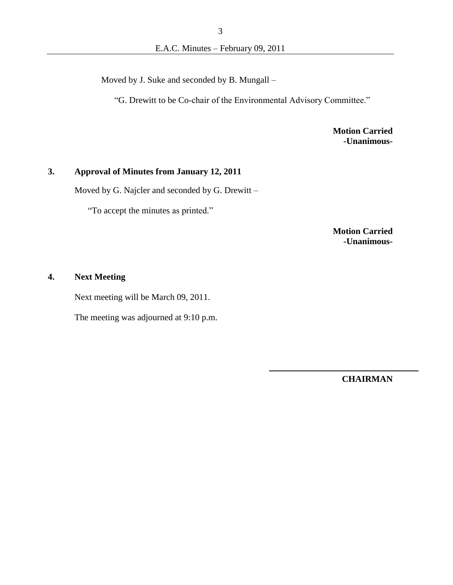Moved by J. Suke and seconded by B. Mungall –

"G. Drewitt to be Co-chair of the Environmental Advisory Committee."

**Motion Carried -Unanimous-**

### **3. Approval of Minutes from January 12, 2011**

Moved by G. Najcler and seconded by G. Drewitt –

"To accept the minutes as printed."

**Motion Carried -Unanimous-**

### **4. Next Meeting**

Next meeting will be March 09, 2011.

The meeting was adjourned at 9:10 p.m.

**CHAIRMAN**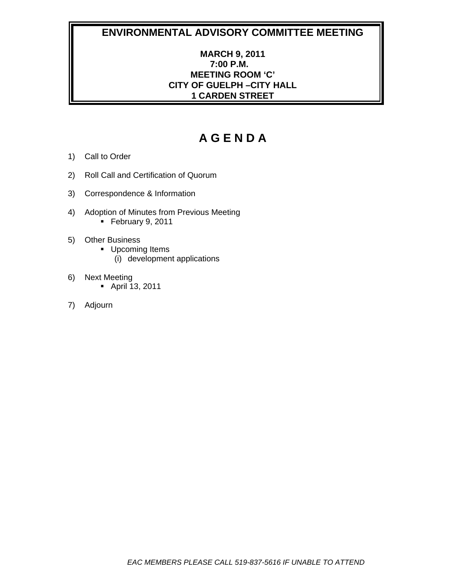# **MARCH 9, 2011 7:00 P.M. MEETING ROOM 'C' CITY OF GUELPH –CITY HALL 1 CARDEN STREET**

- 1) Call to Order
- 2) Roll Call and Certification of Quorum
- 3) Correspondence & Information
- 4) Adoption of Minutes from Previous Meeting February 9, 2011
- 5) Other Business
	- **Upcoming Items** 
		- (i) development applications
- 6) Next Meeting
	- April 13, 2011
- 7) Adjourn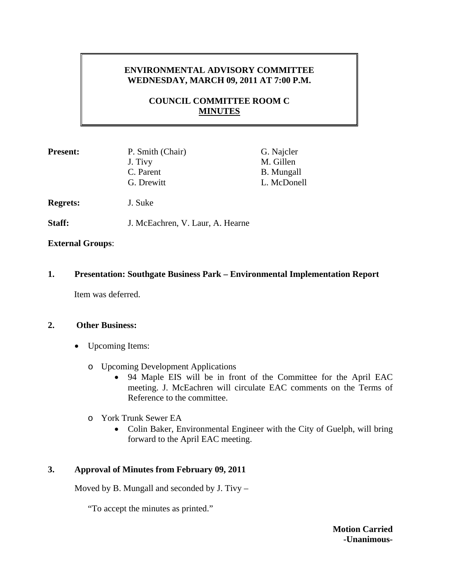# **ENVIRONMENTAL ADVISORY COMMITTEE WEDNESDAY, MARCH 09, 2011 AT 7:00 P.M.**

# **COUNCIL COMMITTEE ROOM C MINUTES**

| <b>Present:</b> | P. Smith (Chair)<br>J. Tivy<br>C. Parent<br>G. Drewitt | G. Najcler<br>M. Gillen<br><b>B.</b> Mungall<br>L. McDonell |
|-----------------|--------------------------------------------------------|-------------------------------------------------------------|
| <b>Regrets:</b> | J. Suke                                                |                                                             |
| Staff:          | J. McEachren, V. Laur, A. Hearne                       |                                                             |

### **External Groups**:

### **1. Presentation: Southgate Business Park – Environmental Implementation Report**

Item was deferred.

### **2. Other Business:**

- Upcoming Items:
	- o Upcoming Development Applications
		- 94 Maple EIS will be in front of the Committee for the April EAC meeting. J. McEachren will circulate EAC comments on the Terms of Reference to the committee.
	- o York Trunk Sewer EA
		- Colin Baker, Environmental Engineer with the City of Guelph, will bring forward to the April EAC meeting.

### **3. Approval of Minutes from February 09, 2011**

Moved by B. Mungall and seconded by J. Tivy –

"To accept the minutes as printed."

**Motion Carried -Unanimous-**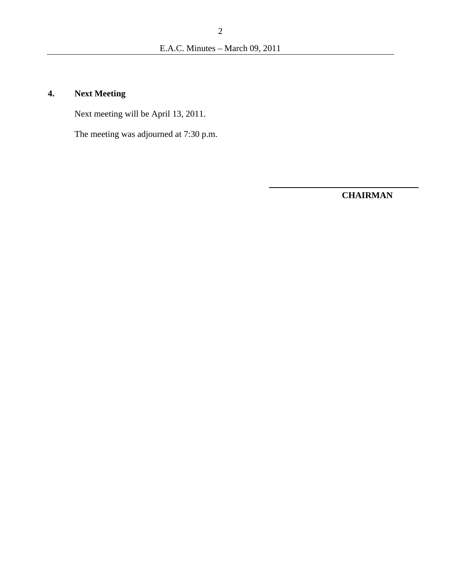# **4. Next Meeting**

Next meeting will be April 13, 2011.

The meeting was adjourned at 7:30 p.m.

**CHAIRMAN**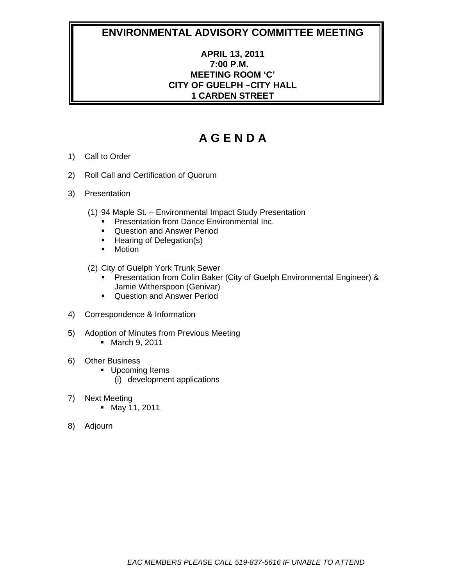# **APRIL 13, 2011 7:00 P.M. MEETING ROOM 'C' CITY OF GUELPH –CITY HALL 1 CARDEN STREET**

- 1) Call to Order
- 2) Roll Call and Certification of Quorum
- 3) Presentation
	- (1) 94 Maple St. Environmental Impact Study Presentation
		- **Presentation from Dance Environmental Inc.**
		- **Question and Answer Period**
		- Hearing of Delegation(s)
		- **-** Motion
	- (2) City of Guelph York Trunk Sewer
		- **Presentation from Colin Baker (City of Guelph Environmental Engineer) &** Jamie Witherspoon (Genivar)
		- **Question and Answer Period**
- 4) Correspondence & Information
- 5) Adoption of Minutes from Previous Meeting **March 9, 2011**
- 6) Other Business
	- **Upcoming Items** 
		- (i) development applications
- 7) Next Meeting
	- May 11, 2011
- 8) Adjourn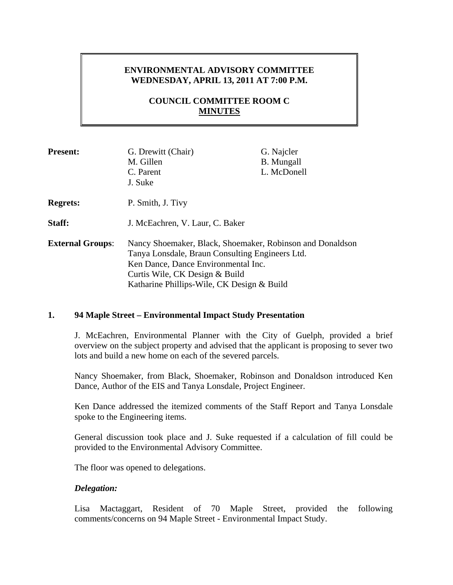# **ENVIRONMENTAL ADVISORY COMMITTEE WEDNESDAY, APRIL 13, 2011 AT 7:00 P.M.**

# **COUNCIL COMMITTEE ROOM C MINUTES**

| <b>Present:</b>         | G. Drewitt (Chair)<br>M. Gillen<br>C. Parent<br>J. Suke                                                                                                                                                                             | G. Najcler<br><b>B.</b> Mungall<br>L. McDonell |
|-------------------------|-------------------------------------------------------------------------------------------------------------------------------------------------------------------------------------------------------------------------------------|------------------------------------------------|
| <b>Regrets:</b>         | P. Smith, J. Tivy                                                                                                                                                                                                                   |                                                |
| <b>Staff:</b>           | J. McEachren, V. Laur, C. Baker                                                                                                                                                                                                     |                                                |
| <b>External Groups:</b> | Nancy Shoemaker, Black, Shoemaker, Robinson and Donaldson<br>Tanya Lonsdale, Braun Consulting Engineers Ltd.<br>Ken Dance, Dance Environmental Inc.<br>Curtis Wile, CK Design & Build<br>Katharine Phillips-Wile, CK Design & Build |                                                |

### **1. 94 Maple Street – Environmental Impact Study Presentation**

J. McEachren, Environmental Planner with the City of Guelph, provided a brief overview on the subject property and advised that the applicant is proposing to sever two lots and build a new home on each of the severed parcels.

Nancy Shoemaker, from Black, Shoemaker, Robinson and Donaldson introduced Ken Dance, Author of the EIS and Tanya Lonsdale, Project Engineer.

Ken Dance addressed the itemized comments of the Staff Report and Tanya Lonsdale spoke to the Engineering items.

General discussion took place and J. Suke requested if a calculation of fill could be provided to the Environmental Advisory Committee.

The floor was opened to delegations.

### *Delegation:*

Lisa Mactaggart, Resident of 70 Maple Street, provided the following comments/concerns on 94 Maple Street - Environmental Impact Study.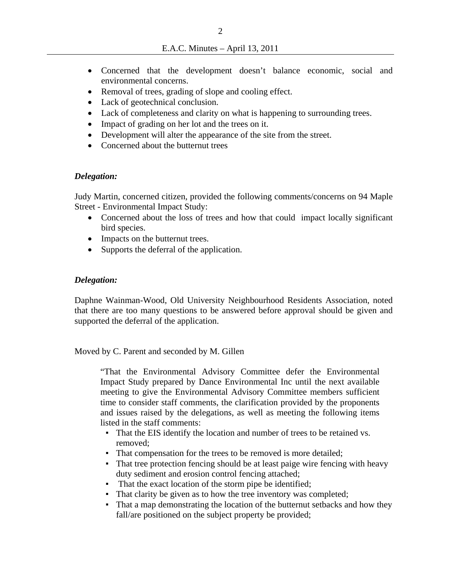- Concerned that the development doesn't balance economic, social and environmental concerns.
- Removal of trees, grading of slope and cooling effect.
- Lack of geotechnical conclusion.
- Lack of completeness and clarity on what is happening to surrounding trees.
- Impact of grading on her lot and the trees on it.
- Development will alter the appearance of the site from the street.
- Concerned about the butternut trees

### *Delegation:*

Judy Martin, concerned citizen, provided the following comments/concerns on 94 Maple Street - Environmental Impact Study:

- Concerned about the loss of trees and how that could impact locally significant bird species.
- Impacts on the butternut trees.
- Supports the deferral of the application.

### *Delegation:*

Daphne Wainman-Wood, Old University Neighbourhood Residents Association, noted that there are too many questions to be answered before approval should be given and supported the deferral of the application.

Moved by C. Parent and seconded by M. Gillen

"That the Environmental Advisory Committee defer the Environmental Impact Study prepared by Dance Environmental Inc until the next available meeting to give the Environmental Advisory Committee members sufficient time to consider staff comments, the clarification provided by the proponents and issues raised by the delegations, as well as meeting the following items listed in the staff comments:

- That the EIS identify the location and number of trees to be retained vs. removed;
- That compensation for the trees to be removed is more detailed;
- That tree protection fencing should be at least paige wire fencing with heavy duty sediment and erosion control fencing attached;
- That the exact location of the storm pipe be identified;
- That clarity be given as to how the tree inventory was completed;
- That a map demonstrating the location of the butternut setbacks and how they fall/are positioned on the subject property be provided;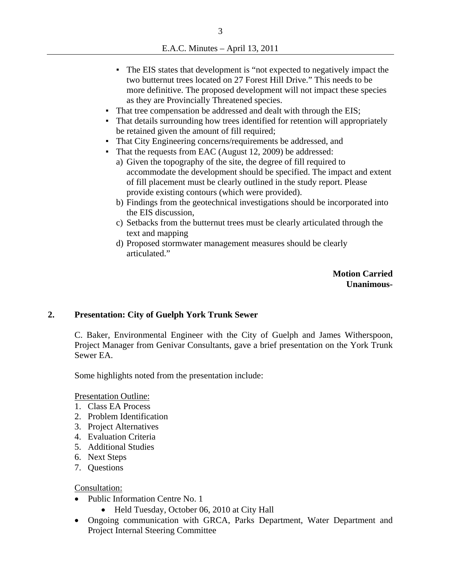E.A.C. Minutes – April 13, 2011

- The EIS states that development is "not expected to negatively impact the two butternut trees located on 27 Forest Hill Drive." This needs to be more definitive. The proposed development will not impact these species as they are Provincially Threatened species.
- That tree compensation be addressed and dealt with through the EIS;
- That details surrounding how trees identified for retention will appropriately be retained given the amount of fill required;
- That City Engineering concerns/requirements be addressed, and
- That the requests from EAC (August 12, 2009) be addressed:
	- a) Given the topography of the site, the degree of fill required to accommodate the development should be specified. The impact and extent of fill placement must be clearly outlined in the study report. Please provide existing contours (which were provided).
	- b) Findings from the geotechnical investigations should be incorporated into the EIS discussion,
	- c) Setbacks from the butternut trees must be clearly articulated through the text and mapping
	- d) Proposed stormwater management measures should be clearly articulated."

**Motion Carried Unanimous-**

### **2. Presentation: City of Guelph York Trunk Sewer**

C. Baker, Environmental Engineer with the City of Guelph and James Witherspoon, Project Manager from Genivar Consultants, gave a brief presentation on the York Trunk Sewer EA.

Some highlights noted from the presentation include:

Presentation Outline:

- 1. Class EA Process
- 2. Problem Identification
- 3. Project Alternatives
- 4. Evaluation Criteria
- 5. Additional Studies
- 6. Next Steps
- 7. Questions

Consultation:

- Public Information Centre No. 1
	- Held Tuesday, October 06, 2010 at City Hall
- Ongoing communication with GRCA, Parks Department, Water Department and Project Internal Steering Committee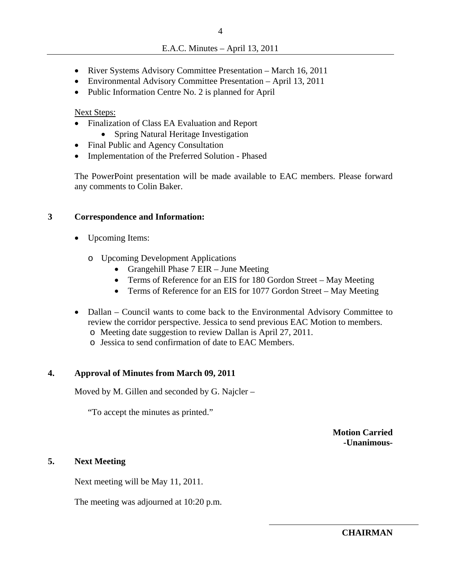- River Systems Advisory Committee Presentation March 16, 2011
- Environmental Advisory Committee Presentation April 13, 2011
- Public Information Centre No. 2 is planned for April

Next Steps:

- Finalization of Class EA Evaluation and Report
	- Spring Natural Heritage Investigation
- Final Public and Agency Consultation
- Implementation of the Preferred Solution Phased

The PowerPoint presentation will be made available to EAC members. Please forward any comments to Colin Baker.

### **3 Correspondence and Information:**

- Upcoming Items:
	- o Upcoming Development Applications
		- Grangehill Phase 7 EIR June Meeting
		- Terms of Reference for an EIS for 180 Gordon Street May Meeting
		- Terms of Reference for an EIS for 1077 Gordon Street May Meeting
- Dallan Council wants to come back to the Environmental Advisory Committee to review the corridor perspective. Jessica to send previous EAC Motion to members.
	- o Meeting date suggestion to review Dallan is April 27, 2011.
	- o Jessica to send confirmation of date to EAC Members.

### **4. Approval of Minutes from March 09, 2011**

Moved by M. Gillen and seconded by G. Najcler –

"To accept the minutes as printed."

**Motion Carried -Unanimous-**

### **5. Next Meeting**

Next meeting will be May 11, 2011.

The meeting was adjourned at 10:20 p.m.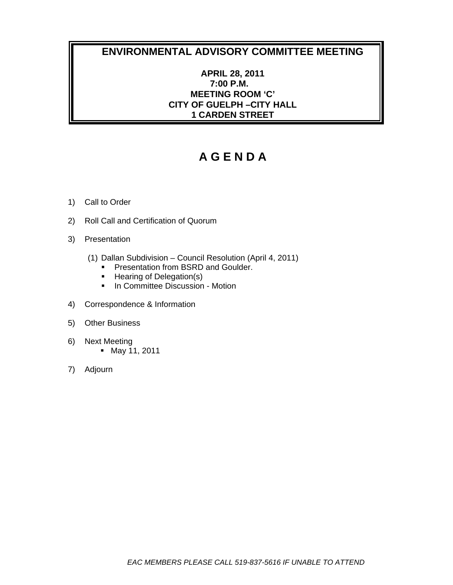### **APRIL 28, 2011 7:00 P.M. MEETING ROOM 'C' CITY OF GUELPH –CITY HALL 1 CARDEN STREET**

- 1) Call to Order
- 2) Roll Call and Certification of Quorum
- 3) Presentation
	- (1) Dallan Subdivision Council Resolution (April 4, 2011)
		- **Presentation from BSRD and Goulder.**
		- Hearing of Delegation(s)
		- **In Committee Discussion Motion**
- 4) Correspondence & Information
- 5) Other Business
- 6) Next Meeting May 11, 2011
- 7) Adjourn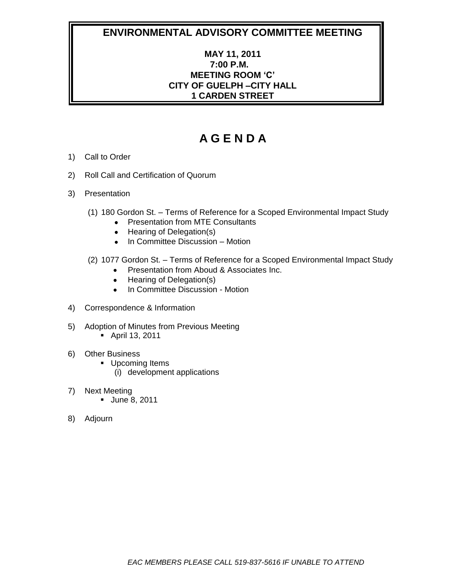# **MAY 11, 2011 7:00 P.M. MEETING ROOM 'C' CITY OF GUELPH –CITY HALL 1 CARDEN STREET**

- 1) Call to Order
- 2) Roll Call and Certification of Quorum
- 3) Presentation
	- (1) 180 Gordon St. Terms of Reference for a Scoped Environmental Impact Study
		- Presentation from MTE Consultants
		- Hearing of Delegation(s)
		- In Committee Discussion Motion
	- (2) 1077 Gordon St. Terms of Reference for a Scoped Environmental Impact Study
		- **•** Presentation from Aboud & Associates Inc.
		- Hearing of Delegation(s)
		- In Committee Discussion Motion
- 4) Correspondence & Information
- 5) Adoption of Minutes from Previous Meeting
	- April 13, 2011
- 6) Other Business
	- **Upcoming Items** 
		- (i) development applications
- 7) Next Meeting
	- **June 8, 2011**
- 8) Adjourn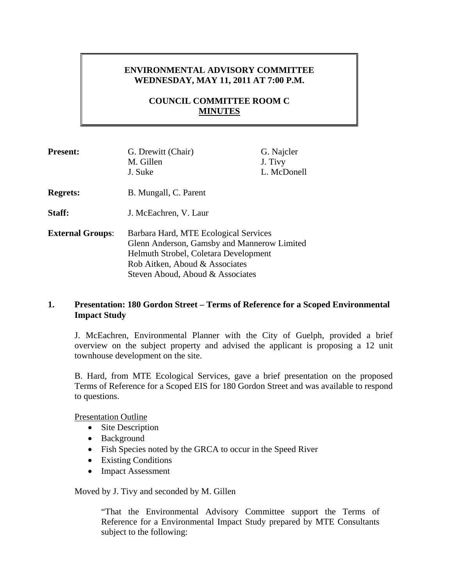# **ENVIRONMENTAL ADVISORY COMMITTEE WEDNESDAY, MAY 11, 2011 AT 7:00 P.M.**

# **COUNCIL COMMITTEE ROOM C MINUTES**

| <b>Present:</b>         | G. Drewitt (Chair)<br>M. Gillen<br>J. Suke                                                                                                                                                          | G. Najcler<br>J. Tivy<br>L. McDonell |
|-------------------------|-----------------------------------------------------------------------------------------------------------------------------------------------------------------------------------------------------|--------------------------------------|
| <b>Regrets:</b>         | B. Mungall, C. Parent                                                                                                                                                                               |                                      |
| Staff:                  | J. McEachren, V. Laur                                                                                                                                                                               |                                      |
| <b>External Groups:</b> | Barbara Hard, MTE Ecological Services<br>Glenn Anderson, Gamsby and Mannerow Limited<br>Helmuth Strobel, Coletara Development<br>Rob Aitken, Aboud & Associates<br>Steven Aboud, Aboud & Associates |                                      |

### **1. Presentation: 180 Gordon Street – Terms of Reference for a Scoped Environmental Impact Study**

J. McEachren, Environmental Planner with the City of Guelph, provided a brief overview on the subject property and advised the applicant is proposing a 12 unit townhouse development on the site.

B. Hard, from MTE Ecological Services, gave a brief presentation on the proposed Terms of Reference for a Scoped EIS for 180 Gordon Street and was available to respond to questions.

Presentation Outline

- $\bullet$  Site Description
- Background
- Fish Species noted by the GRCA to occur in the Speed River
- Existing Conditions
- Impact Assessment

Moved by J. Tivy and seconded by M. Gillen

"That the Environmental Advisory Committee support the Terms of Reference for a Environmental Impact Study prepared by MTE Consultants subject to the following: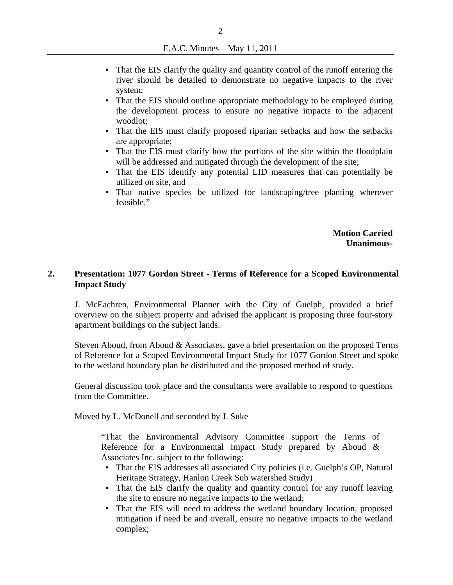- That the EIS clarify the quality and quantity control of the runoff entering the river should be detailed to demonstrate no negative impacts to the river system;
- That the EIS should outline appropriate methodology to be employed during the development process to ensure no negative impacts to the adjacent woodlot;
- That the EIS must clarify proposed riparian setbacks and how the setbacks are appropriate;
- That the EIS must clarify how the portions of the site within the floodplain will be addressed and mitigated through the development of the site;
- That the EIS identify any potential LID measures that can potentially be utilized on site, and
- That native species be utilized for landscaping/tree planting wherever feasible."

**Motion Carried Unanimous-**

### **2. Presentation: 1077 Gordon Street - Terms of Reference for a Scoped Environmental Impact Study**

J. McEachren, Environmental Planner with the City of Guelph, provided a brief overview on the subject property and advised the applicant is proposing three four-story apartment buildings on the subject lands.

 Steven Aboud, from Aboud & Associates, gave a brief presentation on the proposed Terms of Reference for a Scoped Environmental Impact Study for 1077 Gordon Street and spoke to the wetland boundary plan he distributed and the proposed method of study.

General discussion took place and the consultants were available to respond to questions from the Committee.

Moved by L. McDonell and seconded by J. Suke

"That the Environmental Advisory Committee support the Terms of Reference for a Environmental Impact Study prepared by Aboud & Associates Inc. subject to the following:

- That the EIS addresses all associated City policies (i.e. Guelph's OP, Natural Heritage Strategy, Hanlon Creek Sub watershed Study)
- That the EIS clarify the quality and quantity control for any runoff leaving the site to ensure no negative impacts to the wetland;
- That the EIS will need to address the wetland boundary location, proposed mitigation if need be and overall, ensure no negative impacts to the wetland complex;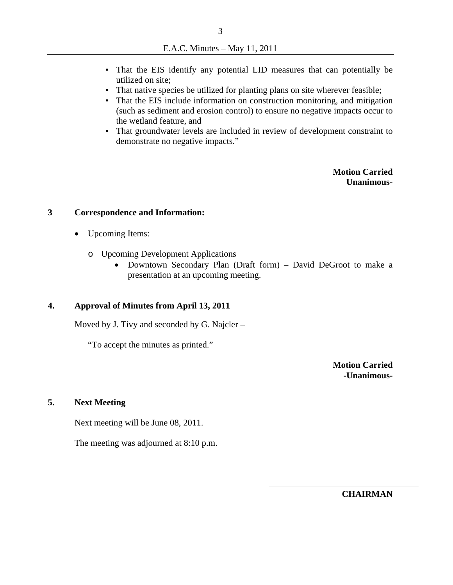- That the EIS identify any potential LID measures that can potentially be utilized on site;
- That native species be utilized for planting plans on site wherever feasible;
- That the EIS include information on construction monitoring, and mitigation (such as sediment and erosion control) to ensure no negative impacts occur to the wetland feature, and
- That groundwater levels are included in review of development constraint to demonstrate no negative impacts."

**Motion Carried Unanimous-**

### **3 Correspondence and Information:**

- Upcoming Items:
	- o Upcoming Development Applications
		- Downtown Secondary Plan (Draft form) David DeGroot to make a presentation at an upcoming meeting.

### **4. Approval of Minutes from April 13, 2011**

Moved by J. Tivy and seconded by G. Najcler –

"To accept the minutes as printed."

**Motion Carried -Unanimous-**

### **5. Next Meeting**

Next meeting will be June 08, 2011.

The meeting was adjourned at 8:10 p.m.

**CHAIRMAN**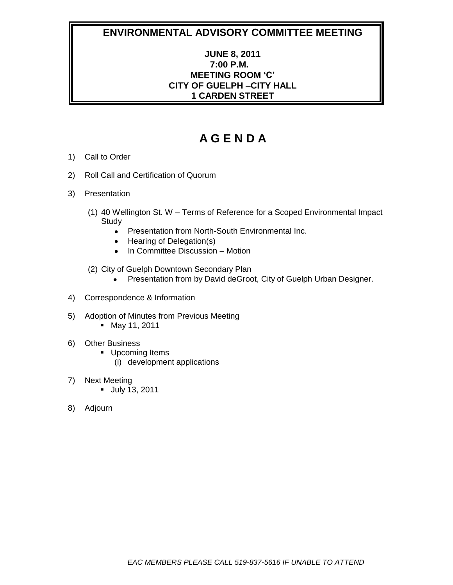# **JUNE 8, 2011 7:00 P.M. MEETING ROOM 'C' CITY OF GUELPH –CITY HALL 1 CARDEN STREET**

- 1) Call to Order
- 2) Roll Call and Certification of Quorum
- 3) Presentation
	- (1) 40 Wellington St. W Terms of Reference for a Scoped Environmental Impact **Study** 
		- Presentation from North-South Environmental Inc.
		- Hearing of Delegation(s)
		- In Committee Discussion Motion  $\bullet$
	- (2) City of Guelph Downtown Secondary Plan
		- $\bullet$ Presentation from by David deGroot, City of Guelph Urban Designer.
- 4) Correspondence & Information
- 5) Adoption of Minutes from Previous Meeting
	- May 11, 2011
- 6) Other Business
	- **Upcoming Items** (i) development applications
- 7) Next Meeting
	- July 13, 2011
- 8) Adjourn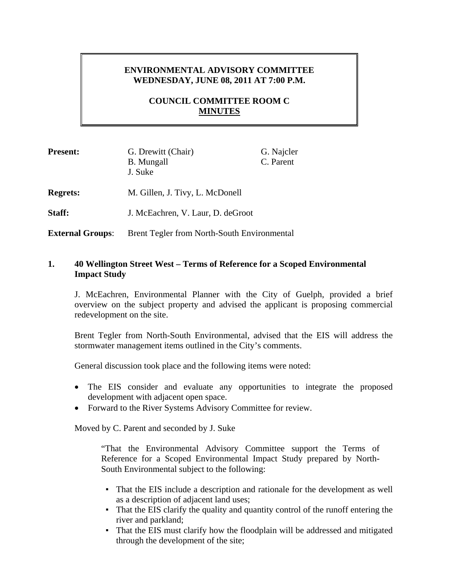# **ENVIRONMENTAL ADVISORY COMMITTEE WEDNESDAY, JUNE 08, 2011 AT 7:00 P.M.**

## **COUNCIL COMMITTEE ROOM C MINUTES**

| <b>Present:</b>         | G. Drewitt (Chair)<br><b>B.</b> Mungall<br>J. Suke | G. Najcler<br>C. Parent |
|-------------------------|----------------------------------------------------|-------------------------|
| <b>Regrets:</b>         | M. Gillen, J. Tivy, L. McDonell                    |                         |
| Staff:                  | J. McEachren, V. Laur, D. deGroot                  |                         |
| <b>External Groups:</b> | <b>Brent Tegler from North-South Environmental</b> |                         |

### **1. 40 Wellington Street West – Terms of Reference for a Scoped Environmental Impact Study**

J. McEachren, Environmental Planner with the City of Guelph, provided a brief overview on the subject property and advised the applicant is proposing commercial redevelopment on the site.

Brent Tegler from North-South Environmental, advised that the EIS will address the stormwater management items outlined in the City's comments.

General discussion took place and the following items were noted:

- The EIS consider and evaluate any opportunities to integrate the proposed development with adjacent open space.
- Forward to the River Systems Advisory Committee for review.

Moved by C. Parent and seconded by J. Suke

"That the Environmental Advisory Committee support the Terms of Reference for a Scoped Environmental Impact Study prepared by North-South Environmental subject to the following:

- That the EIS include a description and rationale for the development as well as a description of adjacent land uses;
- That the EIS clarify the quality and quantity control of the runoff entering the river and parkland;
- That the EIS must clarify how the floodplain will be addressed and mitigated through the development of the site;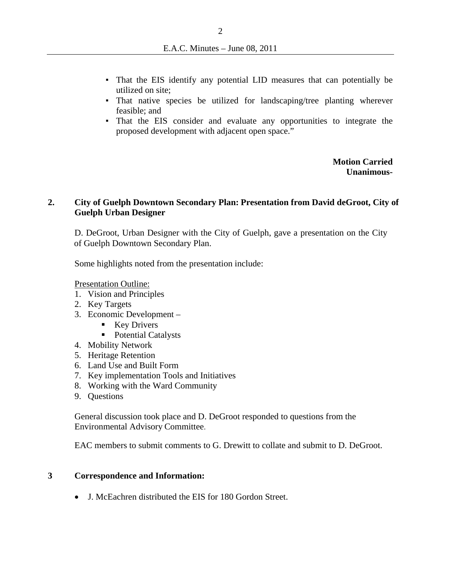- That the EIS identify any potential LID measures that can potentially be utilized on site;
- That native species be utilized for landscaping/tree planting wherever feasible; and
- That the EIS consider and evaluate any opportunities to integrate the proposed development with adjacent open space."

**Motion Carried Unanimous-**

### **2. City of Guelph Downtown Secondary Plan: Presentation from David deGroot, City of Guelph Urban Designer**

 D. DeGroot, Urban Designer with the City of Guelph, gave a presentation on the City of Guelph Downtown Secondary Plan.

Some highlights noted from the presentation include:

Presentation Outline:

- 1. Vision and Principles
- 2. Key Targets
- 3. Economic Development
	- $\blacksquare$  Key Drivers
	- Potential Catalysts
- 4. Mobility Network
- 5. Heritage Retention
- 6. Land Use and Built Form
- 7. Key implementation Tools and Initiatives
- 8. Working with the Ward Community
- 9. Questions

General discussion took place and D. DeGroot responded to questions from the Environmental Advisory Committee.

EAC members to submit comments to G. Drewitt to collate and submit to D. DeGroot.

### **3 Correspondence and Information:**

J. McEachren distributed the EIS for 180 Gordon Street.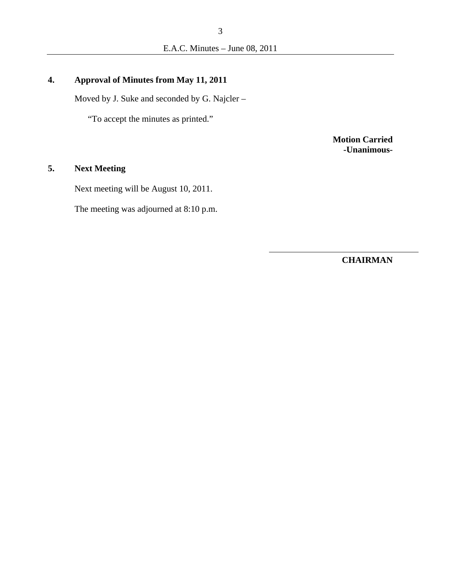# **4. Approval of Minutes from May 11, 2011**

Moved by J. Suke and seconded by G. Najcler –

"To accept the minutes as printed."

**Motion Carried -Unanimous-**

# **5. Next Meeting**

Next meeting will be August 10, 2011.

The meeting was adjourned at 8:10 p.m.

**CHAIRMAN**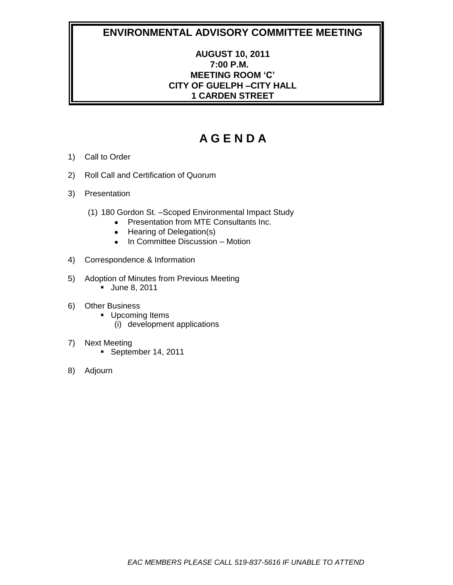# **AUGUST 10, 2011 7:00 P.M. MEETING ROOM 'C' CITY OF GUELPH –CITY HALL 1 CARDEN STREET**

- 1) Call to Order
- 2) Roll Call and Certification of Quorum
- 3) Presentation
	- (1) 180 Gordon St. –Scoped Environmental Impact Study
		- Presentation from MTE Consultants Inc.
		- Hearing of Delegation(s)
		- In Committee Discussion Motion
- 4) Correspondence & Information
- 5) Adoption of Minutes from Previous Meeting **June 8, 2011**
- 6) Other Business
	- **Upcoming Items** 
		- (i) development applications
- 7) Next Meeting
	- September 14, 2011
- 8) Adjourn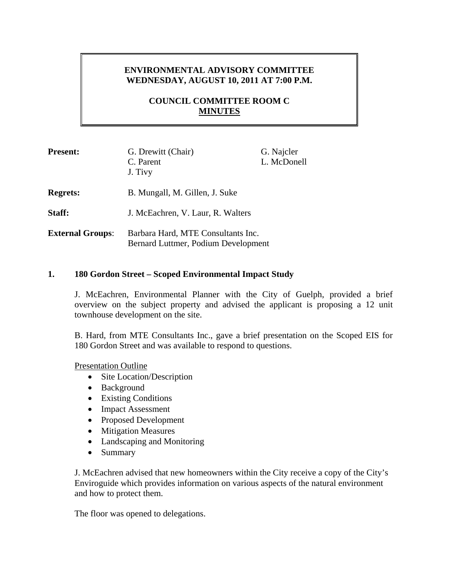# **ENVIRONMENTAL ADVISORY COMMITTEE WEDNESDAY, AUGUST 10, 2011 AT 7:00 P.M.**

# **COUNCIL COMMITTEE ROOM C MINUTES**

| <b>Present:</b>         | G. Drewitt (Chair)<br>C. Parent<br>J. Tivy                                | G. Najcler<br>L. McDonell |
|-------------------------|---------------------------------------------------------------------------|---------------------------|
| <b>Regrets:</b>         | B. Mungall, M. Gillen, J. Suke                                            |                           |
| Staff:                  | J. McEachren, V. Laur, R. Walters                                         |                           |
| <b>External Groups:</b> | Barbara Hard, MTE Consultants Inc.<br>Bernard Luttmer, Podium Development |                           |

### **1. 180 Gordon Street – Scoped Environmental Impact Study**

J. McEachren, Environmental Planner with the City of Guelph, provided a brief overview on the subject property and advised the applicant is proposing a 12 unit townhouse development on the site.

B. Hard, from MTE Consultants Inc., gave a brief presentation on the Scoped EIS for 180 Gordon Street and was available to respond to questions.

Presentation Outline

- Site Location/Description
- Background
- Existing Conditions
- Impact Assessment
- Proposed Development
- Mitigation Measures
- Landscaping and Monitoring
- Summary

J. McEachren advised that new homeowners within the City receive a copy of the City's Enviroguide which provides information on various aspects of the natural environment and how to protect them.

The floor was opened to delegations.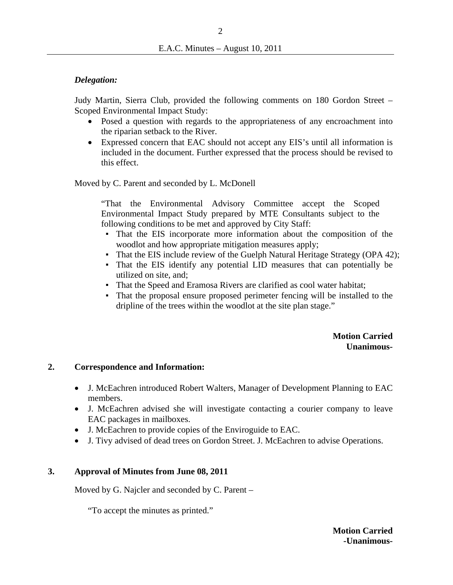2

### *Delegation:*

Judy Martin, Sierra Club, provided the following comments on 180 Gordon Street – Scoped Environmental Impact Study:

- Posed a question with regards to the appropriateness of any encroachment into the riparian setback to the River.
- Expressed concern that EAC should not accept any EIS's until all information is included in the document. Further expressed that the process should be revised to this effect.

Moved by C. Parent and seconded by L. McDonell

"That the Environmental Advisory Committee accept the Scoped Environmental Impact Study prepared by MTE Consultants subject to the following conditions to be met and approved by City Staff:

- That the EIS incorporate more information about the composition of the woodlot and how appropriate mitigation measures apply;
- That the EIS include review of the Guelph Natural Heritage Strategy (OPA 42);
- That the EIS identify any potential LID measures that can potentially be utilized on site, and;
- That the Speed and Eramosa Rivers are clarified as cool water habitat;
- That the proposal ensure proposed perimeter fencing will be installed to the dripline of the trees within the woodlot at the site plan stage."

### **Motion Carried Unanimous-**

### **2. Correspondence and Information:**

- J. McEachren introduced Robert Walters, Manager of Development Planning to EAC members.
- J. McEachren advised she will investigate contacting a courier company to leave EAC packages in mailboxes.
- J. McEachren to provide copies of the Enviroguide to EAC.
- J. Tivy advised of dead trees on Gordon Street. J. McEachren to advise Operations.

### **3. Approval of Minutes from June 08, 2011**

Moved by G. Najcler and seconded by C. Parent –

"To accept the minutes as printed."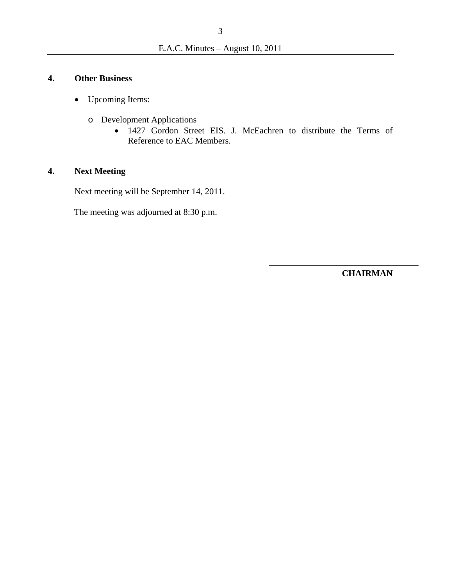### **4. Other Business**

- Upcoming Items:
	- o Development Applications
		- 1427 Gordon Street EIS. J. McEachren to distribute the Terms of Reference to EAC Members.

## **4. Next Meeting**

Next meeting will be September 14, 2011.

The meeting was adjourned at 8:30 p.m.

**CHAIRMAN**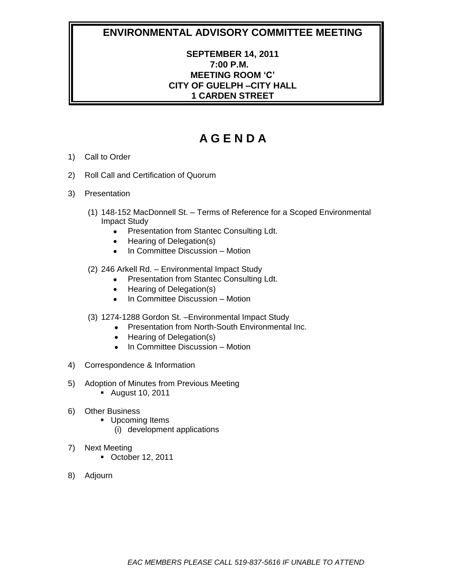# **SEPTEMBER 14, 2011 7:00 P.M. MEETING ROOM 'C' CITY OF GUELPH –CITY HALL 1 CARDEN STREET**

- 1) Call to Order
- 2) Roll Call and Certification of Quorum
- 3) Presentation
	- (1) 148-152 MacDonnell St. Terms of Reference for a Scoped Environmental Impact Study
		- Presentation from Stantec Consulting Ldt.  $\bullet$
		- Hearing of Delegation(s)  $\bullet$
		- In Committee Discussion Motion  $\bullet$
	- (2) 246 Arkell Rd. Environmental Impact Study
		- Presentation from Stantec Consulting Ldt.  $\bullet$
		- Hearing of Delegation(s)  $\bullet$
		- In Committee Discussion Motion  $\bullet$
	- (3) 1274-1288 Gordon St. –Environmental Impact Study
		- Presentation from North-South Environmental Inc.
		- Hearing of Delegation(s)
		- In Committee Discussion Motion
- 4) Correspondence & Information
- 5) Adoption of Minutes from Previous Meeting
	- August 10, 2011
- 6) Other Business
	- **Upcoming Items** 
		- (i) development applications
- 7) Next Meeting
	- October 12, 2011
- 8) Adjourn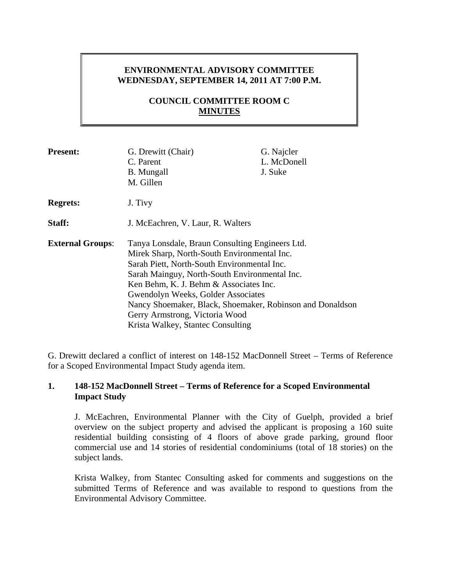# **ENVIRONMENTAL ADVISORY COMMITTEE WEDNESDAY, SEPTEMBER 14, 2011 AT 7:00 P.M.**

# **COUNCIL COMMITTEE ROOM C MINUTES**

| <b>Present:</b>         | G. Drewitt (Chair)<br>C. Parent<br><b>B.</b> Mungall<br>M. Gillen                                                                                                                                                                                                                                                                                                                                                  | G. Najcler<br>L. McDonell<br>J. Suke |
|-------------------------|--------------------------------------------------------------------------------------------------------------------------------------------------------------------------------------------------------------------------------------------------------------------------------------------------------------------------------------------------------------------------------------------------------------------|--------------------------------------|
| <b>Regrets:</b>         | J. Tivy                                                                                                                                                                                                                                                                                                                                                                                                            |                                      |
| Staff:                  | J. McEachren, V. Laur, R. Walters                                                                                                                                                                                                                                                                                                                                                                                  |                                      |
| <b>External Groups:</b> | Tanya Lonsdale, Braun Consulting Engineers Ltd.<br>Mirek Sharp, North-South Environmental Inc.<br>Sarah Piett, North-South Environmental Inc.<br>Sarah Mainguy, North-South Environmental Inc.<br>Ken Behm, K. J. Behm & Associates Inc.<br>Gwendolyn Weeks, Golder Associates<br>Nancy Shoemaker, Black, Shoemaker, Robinson and Donaldson<br>Gerry Armstrong, Victoria Wood<br>Krista Walkey, Stantec Consulting |                                      |

G. Drewitt declared a conflict of interest on 148-152 MacDonnell Street – Terms of Reference for a Scoped Environmental Impact Study agenda item.

### **1. 148-152 MacDonnell Street – Terms of Reference for a Scoped Environmental Impact Study**

J. McEachren, Environmental Planner with the City of Guelph, provided a brief overview on the subject property and advised the applicant is proposing a 160 suite residential building consisting of 4 floors of above grade parking, ground floor commercial use and 14 stories of residential condominiums (total of 18 stories) on the subject lands.

Krista Walkey, from Stantec Consulting asked for comments and suggestions on the submitted Terms of Reference and was available to respond to questions from the Environmental Advisory Committee.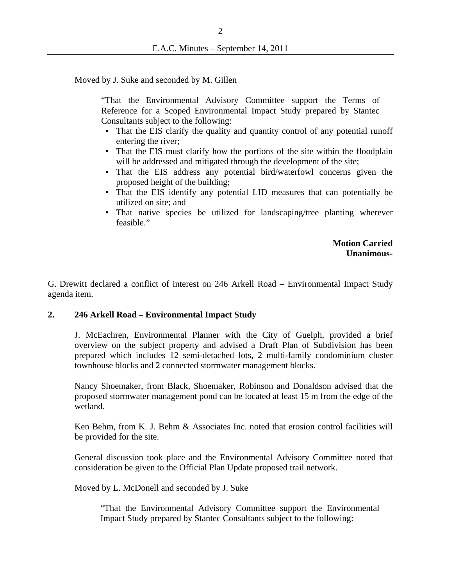Moved by J. Suke and seconded by M. Gillen

"That the Environmental Advisory Committee support the Terms of Reference for a Scoped Environmental Impact Study prepared by Stantec Consultants subject to the following:

- That the EIS clarify the quality and quantity control of any potential runoff entering the river;
- That the EIS must clarify how the portions of the site within the floodplain will be addressed and mitigated through the development of the site;
- That the EIS address any potential bird/waterfowl concerns given the proposed height of the building;
- That the EIS identify any potential LID measures that can potentially be utilized on site; and
- That native species be utilized for landscaping/tree planting wherever feasible."

**Motion Carried Unanimous-**

G. Drewitt declared a conflict of interest on 246 Arkell Road – Environmental Impact Study agenda item.

### **2. 246 Arkell Road – Environmental Impact Study**

J. McEachren, Environmental Planner with the City of Guelph, provided a brief overview on the subject property and advised a Draft Plan of Subdivision has been prepared which includes 12 semi-detached lots, 2 multi-family condominium cluster townhouse blocks and 2 connected stormwater management blocks.

Nancy Shoemaker, from Black, Shoemaker, Robinson and Donaldson advised that the proposed stormwater management pond can be located at least 15 m from the edge of the wetland.

Ken Behm, from K. J. Behm & Associates Inc. noted that erosion control facilities will be provided for the site.

General discussion took place and the Environmental Advisory Committee noted that consideration be given to the Official Plan Update proposed trail network.

Moved by L. McDonell and seconded by J. Suke

"That the Environmental Advisory Committee support the Environmental Impact Study prepared by Stantec Consultants subject to the following: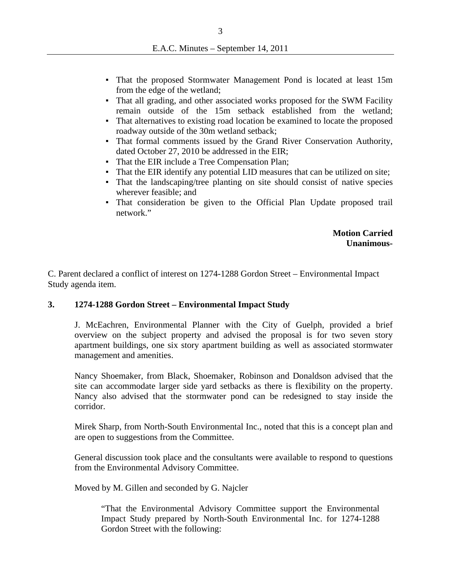- That the proposed Stormwater Management Pond is located at least 15m from the edge of the wetland;
- That all grading, and other associated works proposed for the SWM Facility remain outside of the 15m setback established from the wetland;
- That alternatives to existing road location be examined to locate the proposed roadway outside of the 30m wetland setback;
- That formal comments issued by the Grand River Conservation Authority, dated October 27, 2010 be addressed in the EIR;
- That the EIR include a Tree Compensation Plan;
- That the EIR identify any potential LID measures that can be utilized on site;
- That the landscaping/tree planting on site should consist of native species wherever feasible; and
- That consideration be given to the Official Plan Update proposed trail network."

### **Motion Carried Unanimous-**

C. Parent declared a conflict of interest on 1274-1288 Gordon Street – Environmental Impact Study agenda item.

### **3. 1274-1288 Gordon Street – Environmental Impact Study**

J. McEachren, Environmental Planner with the City of Guelph, provided a brief overview on the subject property and advised the proposal is for two seven story apartment buildings, one six story apartment building as well as associated stormwater management and amenities.

Nancy Shoemaker, from Black, Shoemaker, Robinson and Donaldson advised that the site can accommodate larger side yard setbacks as there is flexibility on the property. Nancy also advised that the stormwater pond can be redesigned to stay inside the corridor.

Mirek Sharp, from North-South Environmental Inc., noted that this is a concept plan and are open to suggestions from the Committee.

General discussion took place and the consultants were available to respond to questions from the Environmental Advisory Committee.

Moved by M. Gillen and seconded by G. Najcler

"That the Environmental Advisory Committee support the Environmental Impact Study prepared by North-South Environmental Inc. for 1274-1288 Gordon Street with the following: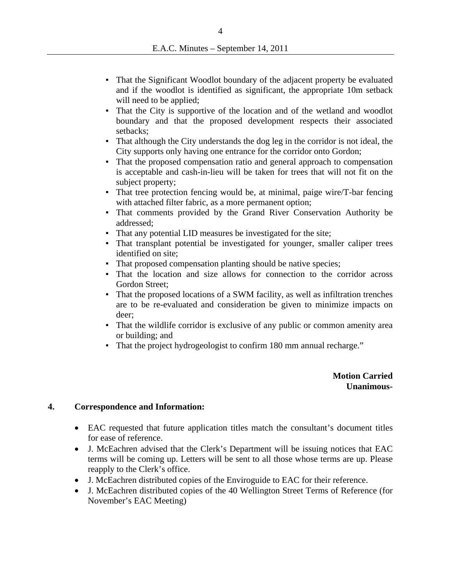- That the Significant Woodlot boundary of the adjacent property be evaluated and if the woodlot is identified as significant, the appropriate 10m setback will need to be applied;
- That the City is supportive of the location and of the wetland and woodlot boundary and that the proposed development respects their associated setbacks;
- That although the City understands the dog leg in the corridor is not ideal, the City supports only having one entrance for the corridor onto Gordon;
- That the proposed compensation ratio and general approach to compensation is acceptable and cash-in-lieu will be taken for trees that will not fit on the subject property;
- $\blacksquare$  That tree protection fencing would be, at minimal, paige wire/T-bar fencing with attached filter fabric, as a more permanent option;
- That comments provided by the Grand River Conservation Authority be addressed;
- That any potential LID measures be investigated for the site;
- That transplant potential be investigated for younger, smaller caliper trees identified on site;
- That proposed compensation planting should be native species;
- That the location and size allows for connection to the corridor across Gordon Street;
- That the proposed locations of a SWM facility, as well as infiltration trenches are to be re-evaluated and consideration be given to minimize impacts on deer;
- That the wildlife corridor is exclusive of any public or common amenity area or building; and
- That the project hydrogeologist to confirm 180 mm annual recharge."

**Motion Carried Unanimous-**

### **4. Correspondence and Information:**

- EAC requested that future application titles match the consultant's document titles for ease of reference.
- J. McEachren advised that the Clerk's Department will be issuing notices that EAC terms will be coming up. Letters will be sent to all those whose terms are up. Please reapply to the Clerk's office.
- J. McEachren distributed copies of the Enviroguide to EAC for their reference.
- J. McEachren distributed copies of the 40 Wellington Street Terms of Reference (for November's EAC Meeting)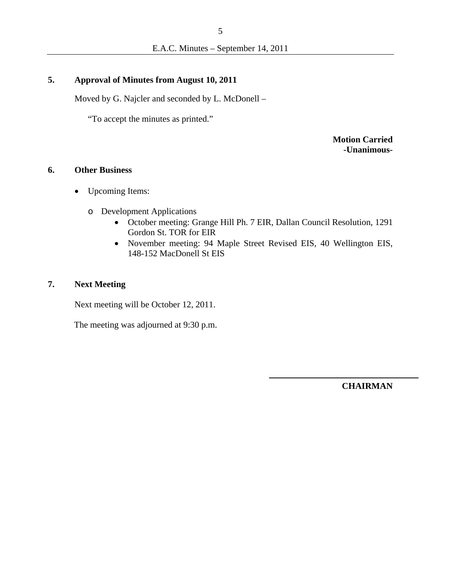# **5. Approval of Minutes from August 10, 2011**

Moved by G. Najcler and seconded by L. McDonell –

"To accept the minutes as printed."

**Motion Carried -Unanimous-**

# **6. Other Business**

- Upcoming Items:
	- o Development Applications
		- October meeting: Grange Hill Ph. 7 EIR, Dallan Council Resolution, 1291 Gordon St. TOR for EIR
		- November meeting: 94 Maple Street Revised EIS, 40 Wellington EIS, 148-152 MacDonell St EIS

# **7. Next Meeting**

Next meeting will be October 12, 2011.

The meeting was adjourned at 9:30 p.m.

**CHAIRMAN**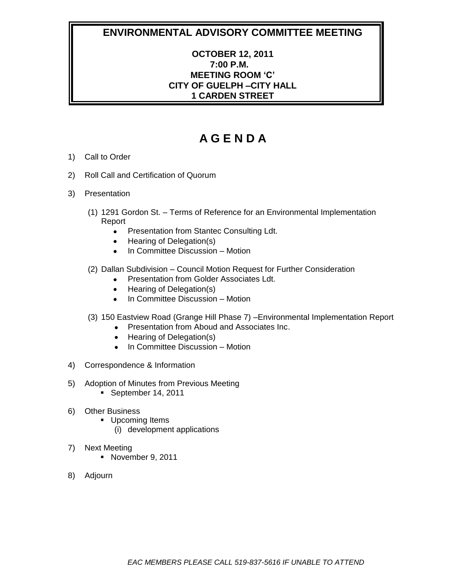# **OCTOBER 12, 2011 7:00 P.M. MEETING ROOM 'C' CITY OF GUELPH –CITY HALL 1 CARDEN STREET**

- 1) Call to Order
- 2) Roll Call and Certification of Quorum
- 3) Presentation
	- (1) 1291 Gordon St. Terms of Reference for an Environmental Implementation Report
		- Presentation from Stantec Consulting Ldt.  $\bullet$
		- Hearing of Delegation(s)  $\bullet$
		- In Committee Discussion Motion  $\bullet$
	- (2) Dallan Subdivision Council Motion Request for Further Consideration
		- Presentation from Golder Associates Ldt.  $\bullet$
		- Hearing of Delegation(s)  $\bullet$
		- In Committee Discussion Motion
	- (3) 150 Eastview Road (Grange Hill Phase 7) –Environmental Implementation Report
		- Presentation from Aboud and Associates Inc.
		- Hearing of Delegation(s)
		- In Committee Discussion Motion
- 4) Correspondence & Information
- 5) Adoption of Minutes from Previous Meeting
	- September 14, 2011
- 6) Other Business
	- **Upcoming Items** 
		- (i) development applications
- 7) Next Meeting
	- November 9, 2011
- 8) Adjourn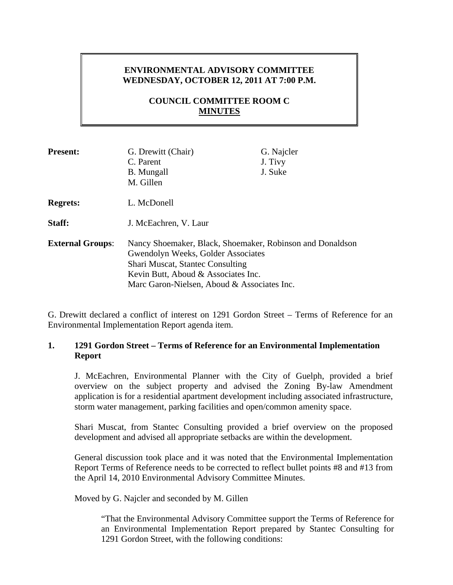# **ENVIRONMENTAL ADVISORY COMMITTEE WEDNESDAY, OCTOBER 12, 2011 AT 7:00 P.M.**

# **COUNCIL COMMITTEE ROOM C MINUTES**

| <b>Present:</b>         | G. Drewitt (Chair)<br>C. Parent<br><b>B.</b> Mungall<br>M. Gillen                                                                                                                                                         | G. Najcler<br>J. Tivy<br>J. Suke |
|-------------------------|---------------------------------------------------------------------------------------------------------------------------------------------------------------------------------------------------------------------------|----------------------------------|
| <b>Regrets:</b>         | L. McDonell                                                                                                                                                                                                               |                                  |
| Staff:                  | J. McEachren, V. Laur                                                                                                                                                                                                     |                                  |
| <b>External Groups:</b> | Nancy Shoemaker, Black, Shoemaker, Robinson and Donaldson<br>Gwendolyn Weeks, Golder Associates<br>Shari Muscat, Stantec Consulting<br>Kevin Butt, Aboud & Associates Inc.<br>Marc Garon-Nielsen, Aboud & Associates Inc. |                                  |

G. Drewitt declared a conflict of interest on 1291 Gordon Street – Terms of Reference for an Environmental Implementation Report agenda item.

### **1. 1291 Gordon Street – Terms of Reference for an Environmental Implementation Report**

J. McEachren, Environmental Planner with the City of Guelph, provided a brief overview on the subject property and advised the Zoning By-law Amendment application is for a residential apartment development including associated infrastructure, storm water management, parking facilities and open/common amenity space.

Shari Muscat, from Stantec Consulting provided a brief overview on the proposed development and advised all appropriate setbacks are within the development.

General discussion took place and it was noted that the Environmental Implementation Report Terms of Reference needs to be corrected to reflect bullet points #8 and #13 from the April 14, 2010 Environmental Advisory Committee Minutes.

Moved by G. Najcler and seconded by M. Gillen

"That the Environmental Advisory Committee support the Terms of Reference for an Environmental Implementation Report prepared by Stantec Consulting for 1291 Gordon Street, with the following conditions: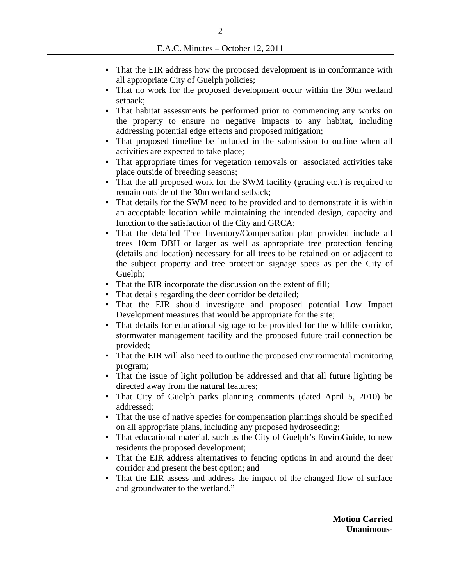- That the EIR address how the proposed development is in conformance with all appropriate City of Guelph policies;
- That no work for the proposed development occur within the 30m wetland setback;
- That habitat assessments be performed prior to commencing any works on the property to ensure no negative impacts to any habitat, including addressing potential edge effects and proposed mitigation;
- That proposed timeline be included in the submission to outline when all activities are expected to take place;
- That appropriate times for vegetation removals or associated activities take place outside of breeding seasons;
- That the all proposed work for the SWM facility (grading etc.) is required to remain outside of the 30m wetland setback;
- That details for the SWM need to be provided and to demonstrate it is within an acceptable location while maintaining the intended design, capacity and function to the satisfaction of the City and GRCA;
- That the detailed Tree Inventory/Compensation plan provided include all trees 10cm DBH or larger as well as appropriate tree protection fencing (details and location) necessary for all trees to be retained on or adjacent to the subject property and tree protection signage specs as per the City of Guelph:
- That the EIR incorporate the discussion on the extent of fill;
- That details regarding the deer corridor be detailed;
- That the EIR should investigate and proposed potential Low Impact Development measures that would be appropriate for the site;
- That details for educational signage to be provided for the wildlife corridor, stormwater management facility and the proposed future trail connection be provided;
- That the EIR will also need to outline the proposed environmental monitoring program;
- That the issue of light pollution be addressed and that all future lighting be directed away from the natural features;
- That City of Guelph parks planning comments (dated April 5, 2010) be addressed;
- That the use of native species for compensation plantings should be specified on all appropriate plans, including any proposed hydroseeding;
- That educational material, such as the City of Guelph's EnviroGuide, to new residents the proposed development;
- That the EIR address alternatives to fencing options in and around the deer corridor and present the best option; and
- That the EIR assess and address the impact of the changed flow of surface and groundwater to the wetland."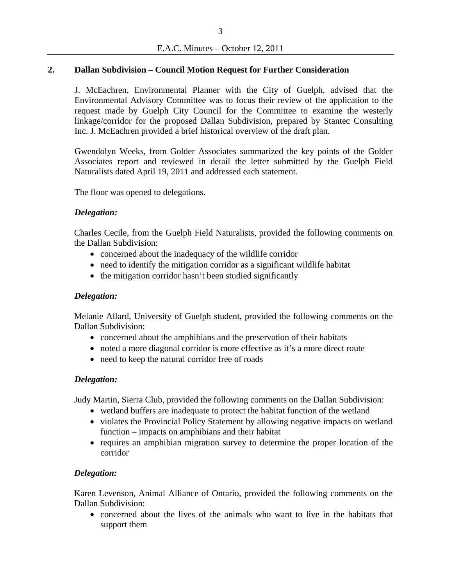### **2. Dallan Subdivision – Council Motion Request for Further Consideration**

J. McEachren, Environmental Planner with the City of Guelph, advised that the Environmental Advisory Committee was to focus their review of the application to the request made by Guelph City Council for the Committee to examine the westerly linkage/corridor for the proposed Dallan Subdivision, prepared by Stantec Consulting Inc. J. McEachren provided a brief historical overview of the draft plan.

Gwendolyn Weeks, from Golder Associates summarized the key points of the Golder Associates report and reviewed in detail the letter submitted by the Guelph Field Naturalists dated April 19, 2011 and addressed each statement.

The floor was opened to delegations.

### *Delegation:*

Charles Cecile, from the Guelph Field Naturalists, provided the following comments on the Dallan Subdivision:

- concerned about the inadequacy of the wildlife corridor
- need to identify the mitigation corridor as a significant wildlife habitat
- the mitigation corridor hasn't been studied significantly

### *Delegation:*

Melanie Allard, University of Guelph student, provided the following comments on the Dallan Subdivision:

- concerned about the amphibians and the preservation of their habitats
- noted a more diagonal corridor is more effective as it's a more direct route
- need to keep the natural corridor free of roads

### *Delegation:*

Judy Martin, Sierra Club, provided the following comments on the Dallan Subdivision:

- wetland buffers are inadequate to protect the habitat function of the wetland
- violates the Provincial Policy Statement by allowing negative impacts on wetland function – impacts on amphibians and their habitat
- requires an amphibian migration survey to determine the proper location of the corridor

### *Delegation:*

Karen Levenson, Animal Alliance of Ontario, provided the following comments on the Dallan Subdivision:

 concerned about the lives of the animals who want to live in the habitats that support them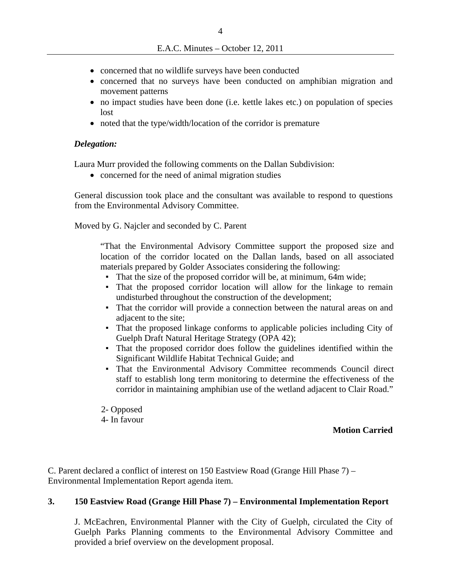- concerned that no wildlife surveys have been conducted
- concerned that no surveys have been conducted on amphibian migration and movement patterns
- no impact studies have been done (i.e. kettle lakes etc.) on population of species lost
- noted that the type/width/location of the corridor is premature

### *Delegation:*

Laura Murr provided the following comments on the Dallan Subdivision:

• concerned for the need of animal migration studies

General discussion took place and the consultant was available to respond to questions from the Environmental Advisory Committee.

Moved by G. Najcler and seconded by C. Parent

"That the Environmental Advisory Committee support the proposed size and location of the corridor located on the Dallan lands, based on all associated materials prepared by Golder Associates considering the following:

- That the size of the proposed corridor will be, at minimum, 64m wide;
- That the proposed corridor location will allow for the linkage to remain undisturbed throughout the construction of the development;
- That the corridor will provide a connection between the natural areas on and adjacent to the site;
- That the proposed linkage conforms to applicable policies including City of Guelph Draft Natural Heritage Strategy (OPA 42);
- That the proposed corridor does follow the guidelines identified within the Significant Wildlife Habitat Technical Guide; and
- That the Environmental Advisory Committee recommends Council direct staff to establish long term monitoring to determine the effectiveness of the corridor in maintaining amphibian use of the wetland adjacent to Clair Road."
- 2- Opposed
- 4- In favour

### **Motion Carried**

C. Parent declared a conflict of interest on 150 Eastview Road (Grange Hill Phase 7) – Environmental Implementation Report agenda item.

### **3. 150 Eastview Road (Grange Hill Phase 7) – Environmental Implementation Report**

J. McEachren, Environmental Planner with the City of Guelph, circulated the City of Guelph Parks Planning comments to the Environmental Advisory Committee and provided a brief overview on the development proposal.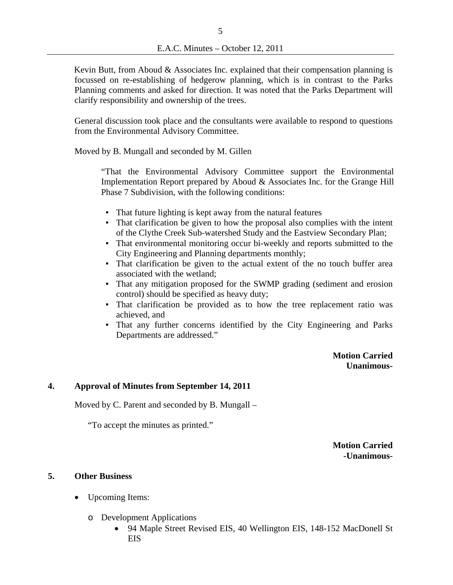Kevin Butt, from Aboud  $\&$  Associates Inc. explained that their compensation planning is focussed on re-establishing of hedgerow planning, which is in contrast to the Parks Planning comments and asked for direction. It was noted that the Parks Department will clarify responsibility and ownership of the trees.

General discussion took place and the consultants were available to respond to questions from the Environmental Advisory Committee.

Moved by B. Mungall and seconded by M. Gillen

"That the Environmental Advisory Committee support the Environmental Implementation Report prepared by Aboud & Associates Inc. for the Grange Hill Phase 7 Subdivision, with the following conditions:

- That future lighting is kept away from the natural features
- That clarification be given to how the proposal also complies with the intent of the Clythe Creek Sub-watershed Study and the Eastview Secondary Plan;
- That environmental monitoring occur bi-weekly and reports submitted to the City Engineering and Planning departments monthly;
- That clarification be given to the actual extent of the no touch buffer area associated with the wetland;
- That any mitigation proposed for the SWMP grading (sediment and erosion control) should be specified as heavy duty;
- That clarification be provided as to how the tree replacement ratio was achieved, and
- That any further concerns identified by the City Engineering and Parks Departments are addressed."

**Motion Carried Unanimous-**

### **4. Approval of Minutes from September 14, 2011**

Moved by C. Parent and seconded by B. Mungall –

"To accept the minutes as printed."

**Motion Carried -Unanimous-**

#### **5. Other Business**

- Upcoming Items:
	- o Development Applications
		- 94 Maple Street Revised EIS, 40 Wellington EIS, 148-152 MacDonell St **EIS**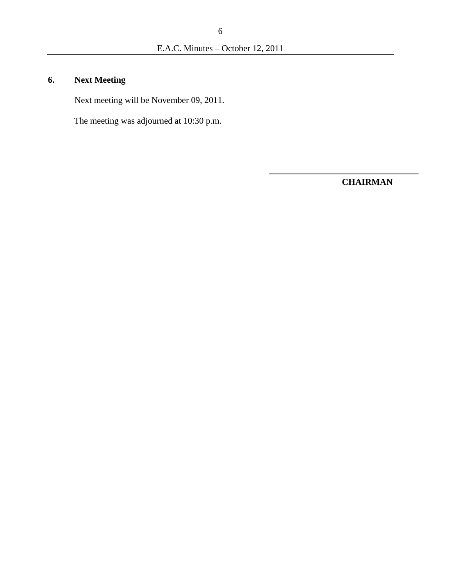# **6. Next Meeting**

Next meeting will be November 09, 2011.

The meeting was adjourned at 10:30 p.m.

**CHAIRMAN**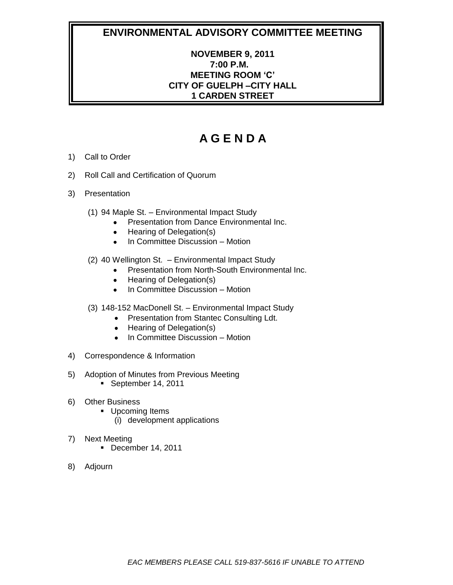# **NOVEMBER 9, 2011 7:00 P.M. MEETING ROOM 'C' CITY OF GUELPH –CITY HALL 1 CARDEN STREET**

- 1) Call to Order
- 2) Roll Call and Certification of Quorum
- 3) Presentation
	- (1) 94 Maple St. Environmental Impact Study
		- Presentation from Dance Environmental Inc.
		- Hearing of Delegation(s)  $\bullet$
		- In Committee Discussion Motion  $\bullet$
	- (2) 40 Wellington St. Environmental Impact Study
		- Presentation from North-South Environmental Inc.
		- Hearing of Delegation(s)  $\bullet$
		- In Committee Discussion Motion
	- (3) 148-152 MacDonell St. Environmental Impact Study
		- Presentation from Stantec Consulting Ldt.
		- Hearing of Delegation(s)
		- In Committee Discussion Motion
- 4) Correspondence & Information
- 5) Adoption of Minutes from Previous Meeting
	- September 14, 2011
- 6) Other Business
	- **Upcoming Items** 
		- (i) development applications
- 7) Next Meeting
	- December 14, 2011
- 8) Adjourn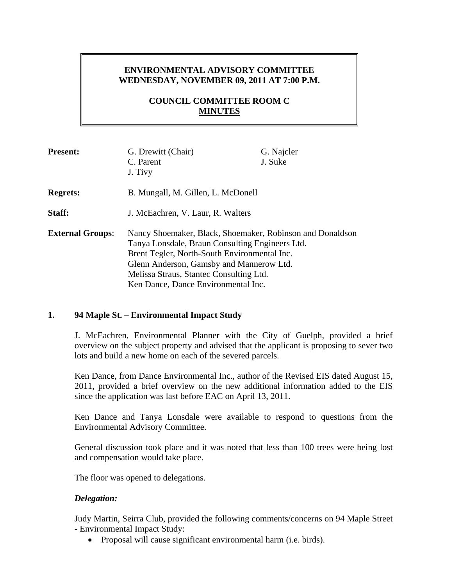# **ENVIRONMENTAL ADVISORY COMMITTEE WEDNESDAY, NOVEMBER 09, 2011 AT 7:00 P.M.**

# **COUNCIL COMMITTEE ROOM C MINUTES**

| <b>Present:</b>                          | G. Drewitt (Chair)                                                                                           | G. Najcler |
|------------------------------------------|--------------------------------------------------------------------------------------------------------------|------------|
|                                          | C. Parent                                                                                                    | J. Suke    |
|                                          | J. Tivy                                                                                                      |            |
| <b>Regrets:</b>                          | B. Mungall, M. Gillen, L. McDonell                                                                           |            |
| Staff:                                   | J. McEachren, V. Laur, R. Walters                                                                            |            |
| <b>External Groups:</b>                  | Nancy Shoemaker, Black, Shoemaker, Robinson and Donaldson<br>Tanya Lonsdale, Braun Consulting Engineers Ltd. |            |
|                                          | Brent Tegler, North-South Environmental Inc.                                                                 |            |
| Glenn Anderson, Gamsby and Mannerow Ltd. |                                                                                                              |            |
|                                          | Melissa Straus, Stantec Consulting Ltd.                                                                      |            |
|                                          | Ken Dance, Dance Environmental Inc.                                                                          |            |

### **1. 94 Maple St. – Environmental Impact Study**

J. McEachren, Environmental Planner with the City of Guelph, provided a brief overview on the subject property and advised that the applicant is proposing to sever two lots and build a new home on each of the severed parcels.

Ken Dance, from Dance Environmental Inc., author of the Revised EIS dated August 15, 2011, provided a brief overview on the new additional information added to the EIS since the application was last before EAC on April 13, 2011.

Ken Dance and Tanya Lonsdale were available to respond to questions from the Environmental Advisory Committee.

General discussion took place and it was noted that less than 100 trees were being lost and compensation would take place.

The floor was opened to delegations.

### *Delegation:*

Judy Martin, Seirra Club, provided the following comments/concerns on 94 Maple Street - Environmental Impact Study:

• Proposal will cause significant environmental harm (i.e. birds).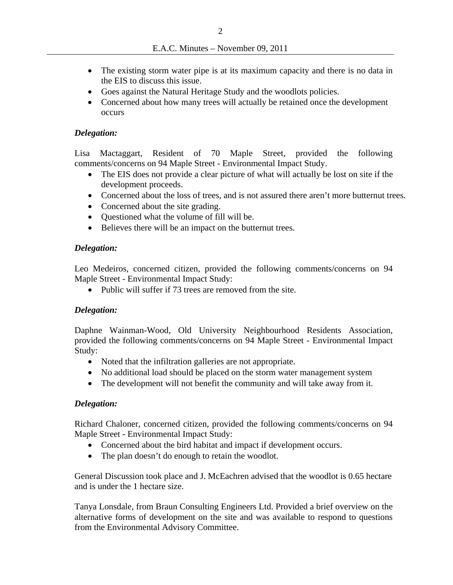- The existing storm water pipe is at its maximum capacity and there is no data in the EIS to discuss this issue.
- Goes against the Natural Heritage Study and the woodlots policies.
- Concerned about how many trees will actually be retained once the development occurs

### *Delegation:*

Lisa Mactaggart, Resident of 70 Maple Street, provided the following comments/concerns on 94 Maple Street - Environmental Impact Study.

- The EIS does not provide a clear picture of what will actually be lost on site if the development proceeds.
- Concerned about the loss of trees, and is not assured there aren't more butternut trees.
- Concerned about the site grading.
- Questioned what the volume of fill will be.
- Believes there will be an impact on the butternut trees.

### *Delegation:*

Leo Medeiros, concerned citizen, provided the following comments/concerns on 94 Maple Street - Environmental Impact Study:

• Public will suffer if 73 trees are removed from the site.

### *Delegation:*

Daphne Wainman-Wood, Old University Neighbourhood Residents Association, provided the following comments/concerns on 94 Maple Street - Environmental Impact Study:

- Noted that the infiltration galleries are not appropriate.
- No additional load should be placed on the storm water management system
- The development will not benefit the community and will take away from it.

### *Delegation:*

Richard Chaloner, concerned citizen, provided the following comments/concerns on 94 Maple Street - Environmental Impact Study:

- Concerned about the bird habitat and impact if development occurs.
- The plan doesn't do enough to retain the woodlot.

General Discussion took place and J. McEachren advised that the woodlot is 0.65 hectare and is under the 1 hectare size.

Tanya Lonsdale, from Braun Consulting Engineers Ltd. Provided a brief overview on the alternative forms of development on the site and was available to respond to questions from the Environmental Advisory Committee.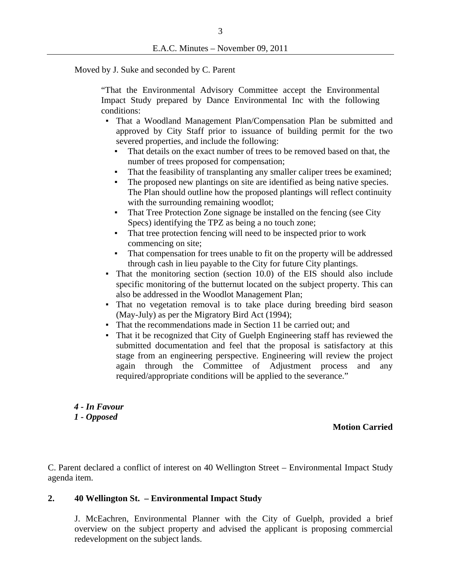Moved by J. Suke and seconded by C. Parent

"That the Environmental Advisory Committee accept the Environmental Impact Study prepared by Dance Environmental Inc with the following conditions:

- That a Woodland Management Plan/Compensation Plan be submitted and approved by City Staff prior to issuance of building permit for the two severed properties, and include the following:
	- That details on the exact number of trees to be removed based on that, the number of trees proposed for compensation;
	- That the feasibility of transplanting any smaller caliper trees be examined;
	- The proposed new plantings on site are identified as being native species. The Plan should outline how the proposed plantings will reflect continuity with the surrounding remaining woodlot;
	- That Tree Protection Zone signage be installed on the fencing (see City) Specs) identifying the TPZ as being a no touch zone;
	- That tree protection fencing will need to be inspected prior to work commencing on site;
	- That compensation for trees unable to fit on the property will be addressed through cash in lieu payable to the City for future City plantings.
- That the monitoring section (section 10.0) of the EIS should also include specific monitoring of the butternut located on the subject property. This can also be addressed in the Woodlot Management Plan;
- That no vegetation removal is to take place during breeding bird season (May-July) as per the Migratory Bird Act (1994);
- That the recommendations made in Section 11 be carried out; and
- That it be recognized that City of Guelph Engineering staff has reviewed the submitted documentation and feel that the proposal is satisfactory at this stage from an engineering perspective. Engineering will review the project again through the Committee of Adjustment process and any required/appropriate conditions will be applied to the severance."

*4 - In Favour 1 - Opposed* 

**Motion Carried**

C. Parent declared a conflict of interest on 40 Wellington Street – Environmental Impact Study agenda item.

### **2. 40 Wellington St. – Environmental Impact Study**

J. McEachren, Environmental Planner with the City of Guelph, provided a brief overview on the subject property and advised the applicant is proposing commercial redevelopment on the subject lands.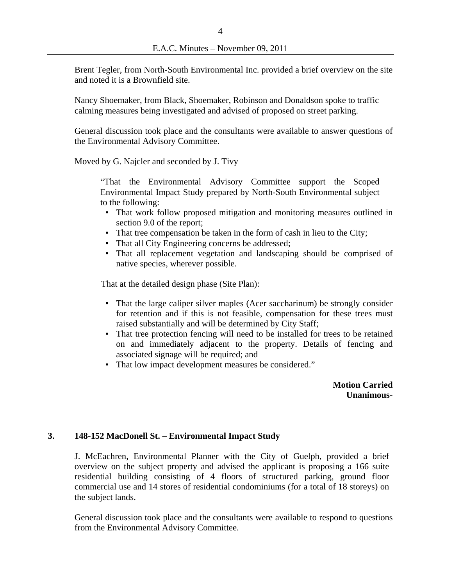Brent Tegler, from North-South Environmental Inc. provided a brief overview on the site and noted it is a Brownfield site.

Nancy Shoemaker, from Black, Shoemaker, Robinson and Donaldson spoke to traffic calming measures being investigated and advised of proposed on street parking.

General discussion took place and the consultants were available to answer questions of the Environmental Advisory Committee.

Moved by G. Najcler and seconded by J. Tivy

"That the Environmental Advisory Committee support the Scoped Environmental Impact Study prepared by North-South Environmental subject to the following:

- That work follow proposed mitigation and monitoring measures outlined in section 9.0 of the report;
- That tree compensation be taken in the form of cash in lieu to the City;
- That all City Engineering concerns be addressed;
- That all replacement vegetation and landscaping should be comprised of native species, wherever possible.

That at the detailed design phase (Site Plan):

- That the large caliper silver maples (Acer saccharinum) be strongly consider for retention and if this is not feasible, compensation for these trees must raised substantially and will be determined by City Staff;
- That tree protection fencing will need to be installed for trees to be retained on and immediately adjacent to the property. Details of fencing and associated signage will be required; and
- That low impact development measures be considered."

**Motion Carried Unanimous-** 

### **3. 148-152 MacDonell St. – Environmental Impact Study**

J. McEachren, Environmental Planner with the City of Guelph, provided a brief overview on the subject property and advised the applicant is proposing a 166 suite residential building consisting of 4 floors of structured parking, ground floor commercial use and 14 stores of residential condominiums (for a total of 18 storeys) on the subject lands.

General discussion took place and the consultants were available to respond to questions from the Environmental Advisory Committee.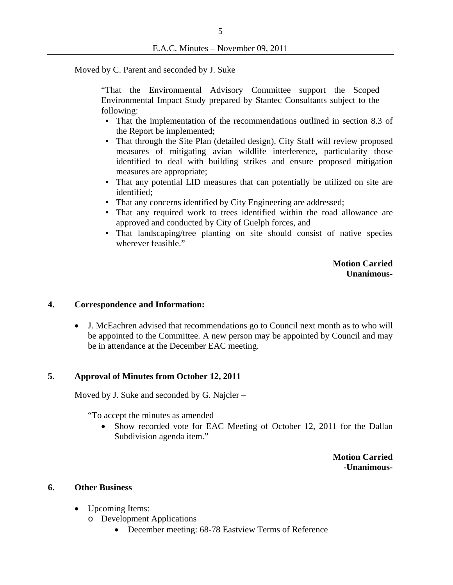Moved by C. Parent and seconded by J. Suke

"That the Environmental Advisory Committee support the Scoped Environmental Impact Study prepared by Stantec Consultants subject to the following:

- That the implementation of the recommendations outlined in section 8.3 of the Report be implemented;
- That through the Site Plan (detailed design), City Staff will review proposed measures of mitigating avian wildlife interference, particularity those identified to deal with building strikes and ensure proposed mitigation measures are appropriate;
- That any potential LID measures that can potentially be utilized on site are identified;
- That any concerns identified by City Engineering are addressed;
- That any required work to trees identified within the road allowance are approved and conducted by City of Guelph forces, and
- That landscaping/tree planting on site should consist of native species wherever feasible."

**Motion Carried Unanimous-**

### **4. Correspondence and Information:**

 J. McEachren advised that recommendations go to Council next month as to who will be appointed to the Committee. A new person may be appointed by Council and may be in attendance at the December EAC meeting.

#### **5. Approval of Minutes from October 12, 2011**

Moved by J. Suke and seconded by G. Najcler –

"To accept the minutes as amended

 Show recorded vote for EAC Meeting of October 12, 2011 for the Dallan Subdivision agenda item."

> **Motion Carried -Unanimous-**

#### **6. Other Business**

- Upcoming Items:
	- o Development Applications
		- December meeting: 68-78 Eastview Terms of Reference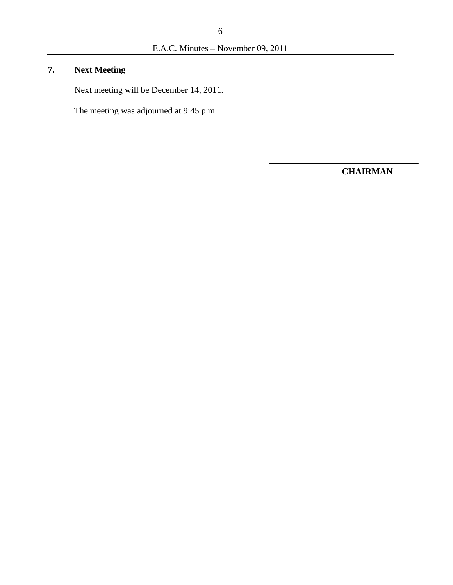# **7. Next Meeting**

Next meeting will be December 14, 2011.

The meeting was adjourned at 9:45 p.m.

**CHAIRMAN**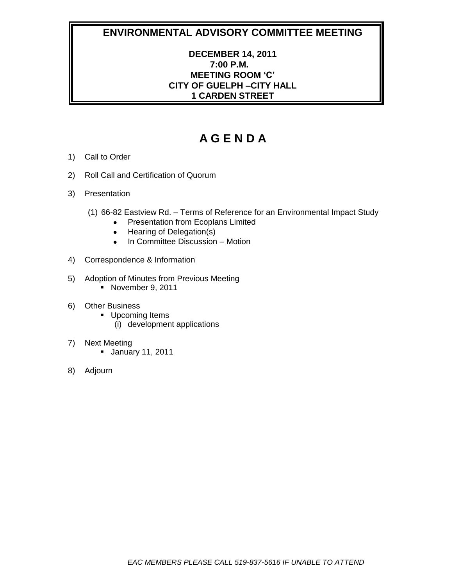# **DECEMBER 14, 2011 7:00 P.M. MEETING ROOM 'C' CITY OF GUELPH –CITY HALL 1 CARDEN STREET**

- 1) Call to Order
- 2) Roll Call and Certification of Quorum
- 3) Presentation
	- (1) 66-82 Eastview Rd. Terms of Reference for an Environmental Impact Study
		- Presentation from Ecoplans Limited
		- Hearing of Delegation(s)  $\bullet$
		- In Committee Discussion Motion  $\bullet$
- 4) Correspondence & Information
- 5) Adoption of Minutes from Previous Meeting November 9, 2011
- 6) Other Business
	- **Upcoming Items** (i) development applications
	-
- 7) Next Meeting
	- January 11, 2011
- 8) Adjourn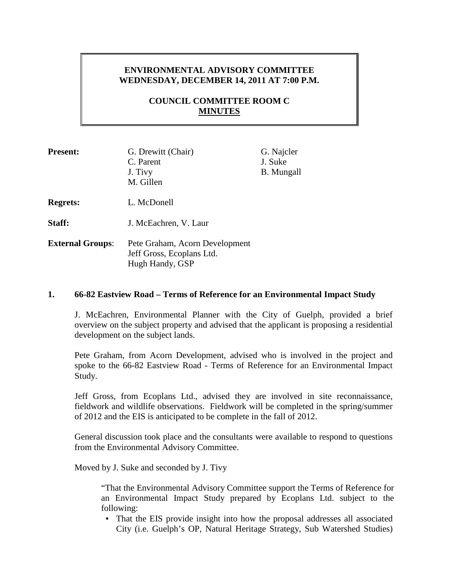## **ENVIRONMENTAL ADVISORY COMMITTEE WEDNESDAY, DECEMBER 14, 2011 AT 7:00 P.M.**

# **COUNCIL COMMITTEE ROOM C MINUTES**

| <b>Present:</b>         | G. Drewitt (Chair)<br>C. Parent<br>J. Tivy<br>M. Gillen                        | G. Najcler<br>J. Suke<br><b>B.</b> Mungall |
|-------------------------|--------------------------------------------------------------------------------|--------------------------------------------|
| <b>Regrets:</b>         | L. McDonell                                                                    |                                            |
| Staff:                  | J. McEachren, V. Laur                                                          |                                            |
| <b>External Groups:</b> | Pete Graham, Acorn Development<br>Jeff Gross, Ecoplans Ltd.<br>Hugh Handy, GSP |                                            |

### **1. 66-82 Eastview Road – Terms of Reference for an Environmental Impact Study**

J. McEachren, Environmental Planner with the City of Guelph, provided a brief overview on the subject property and advised that the applicant is proposing a residential development on the subject lands.

Pete Graham, from Acorn Development, advised who is involved in the project and spoke to the 66-82 Eastview Road - Terms of Reference for an Environmental Impact Study.

Jeff Gross, from Ecoplans Ltd., advised they are involved in site reconnaissance, fieldwork and wildlife observations. Fieldwork will be completed in the spring/summer of 2012 and the EIS is anticipated to be complete in the fall of 2012.

General discussion took place and the consultants were available to respond to questions from the Environmental Advisory Committee.

Moved by J. Suke and seconded by J. Tivy

"That the Environmental Advisory Committee support the Terms of Reference for an Environmental Impact Study prepared by Ecoplans Ltd. subject to the following:

▪ That the EIS provide insight into how the proposal addresses all associated City (i.e. Guelph's OP, Natural Heritage Strategy, Sub Watershed Studies)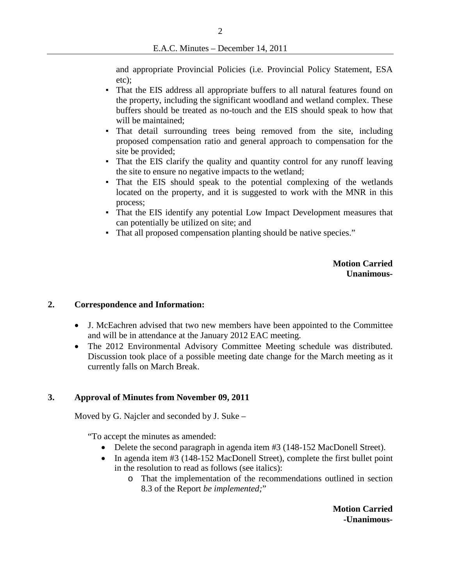and appropriate Provincial Policies (i.e. Provincial Policy Statement, ESA etc);

- That the EIS address all appropriate buffers to all natural features found on the property, including the significant woodland and wetland complex. These buffers should be treated as no-touch and the EIS should speak to how that will be maintained;
- That detail surrounding trees being removed from the site, including proposed compensation ratio and general approach to compensation for the site be provided;
- That the EIS clarify the quality and quantity control for any runoff leaving the site to ensure no negative impacts to the wetland;
- That the EIS should speak to the potential complexing of the wetlands located on the property, and it is suggested to work with the MNR in this process;
- That the EIS identify any potential Low Impact Development measures that can potentially be utilized on site; and
- That all proposed compensation planting should be native species."

**Motion Carried Unanimous-**

### **2. Correspondence and Information:**

- J. McEachren advised that two new members have been appointed to the Committee and will be in attendance at the January 2012 EAC meeting.
- The 2012 Environmental Advisory Committee Meeting schedule was distributed. Discussion took place of a possible meeting date change for the March meeting as it currently falls on March Break.

#### **3. Approval of Minutes from November 09, 2011**

Moved by G. Najcler and seconded by J. Suke –

"To accept the minutes as amended:

- Delete the second paragraph in agenda item #3 (148-152 MacDonell Street).
- In agenda item #3 (148-152 MacDonell Street), complete the first bullet point in the resolution to read as follows (see italics):
	- o That the implementation of the recommendations outlined in section 8.3 of the Report *be implemented;*"

**Motion Carried -Unanimous-**